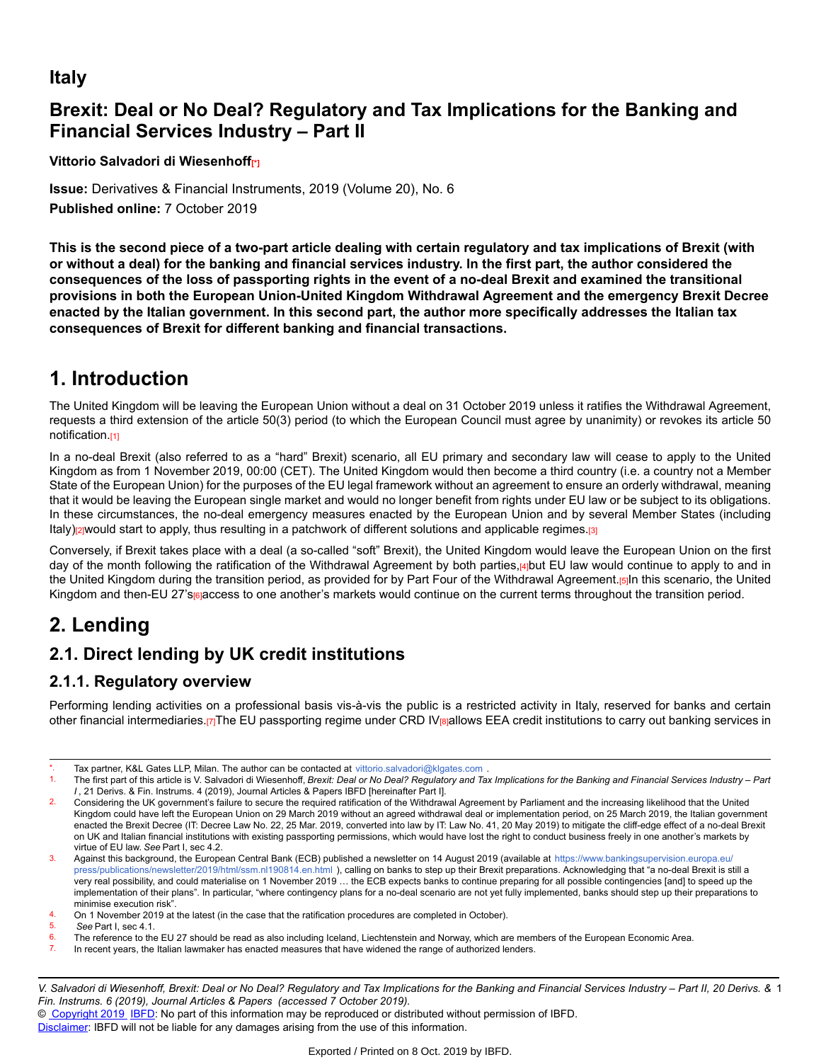# **Italy**

# **Brexit: Deal or No Deal? Regulatory and Tax Implications for the Banking and Financial Services Industry – Part II**

**Vittorio Salvadori di Wiesenhoff[\*]**

**Issue:** Derivatives & Financial Instruments, 2019 (Volume 20), No. 6 **Published online:** 7 October 2019

**This is the second piece of a two-part article dealing with certain regulatory and tax implications of Brexit (with** or without a deal) for the banking and financial services industry. In the first part, the author considered the **consequences of the loss of passporting rights in the event of a no-deal Brexit and examined the transitional provisions in both the European Union-United Kingdom Withdrawal Agreement and the emergency Brexit Decree enacted by the Italian government. In this second part, the author more specifically addresses the Italian tax consequences of Brexit for different banking and financial transactions.**

# **1. Introduction**

The United Kingdom will be leaving the European Union without a deal on 31 October 2019 unless it ratifies the Withdrawal Agreement, requests a third extension of the article 50(3) period (to which the European Council must agree by unanimity) or revokes its article 50 notification.[1]

In a no-deal Brexit (also referred to as a "hard" Brexit) scenario, all EU primary and secondary law will cease to apply to the United Kingdom as from 1 November 2019, 00:00 (CET). The United Kingdom would then become a third country (i.e. a country not a Member State of the European Union) for the purposes of the EU legal framework without an agreement to ensure an orderly withdrawal, meaning that it would be leaving the European single market and would no longer benefit from rights under EU law or be subject to its obligations. In these circumstances, the no-deal emergency measures enacted by the European Union and by several Member States (including Italy)<sub>[2]</sub>would start to apply, thus resulting in a patchwork of different solutions and applicable regimes.[3]

Conversely, if Brexit takes place with a deal (a so-called "soft" Brexit), the United Kingdom would leave the European Union on the first day of the month following the ratification of the Withdrawal Agreement by both parties,[4]but EU law would continue to apply to and in the United Kingdom during the transition period, as provided for by Part Four of the Withdrawal Agreement.[5]In this scenario, the United Kingdom and then-EU 27's rejaccess to one another's markets would continue on the current terms throughout the transition period.

# **2. Lending**

# **2.1. Direct lending by UK credit institutions**

# **2.1.1. Regulatory overview**

Performing lending activities on a professional basis vis-à-vis the public is a restricted activity in Italy, reserved for banks and certain other financial intermediaries.[7]The EU passporting regime under CRD IV[8]allows EEA credit institutions to carry out banking services in

Tax partner, K&L Gates LLP, Milan. The author can be contacted at <vittorio.salvadori@klgates.com>

<sup>1.</sup> The first part of this article is V. Salvadori di Wiesenhoff. Brexit: Deal or No Deal? Regulatory and Tax Implications for the Banking and Financial Services Industry – Part *I* , 21 Derivs. & Fin. Instrums. 4 (2019), Journal Articles & Papers IBFD [hereinafter Part I].

<sup>2.</sup> Considering the UK government's failure to secure the required ratification of the Withdrawal Agreement by Parliament and the increasing likelihood that the United Kingdom could have left the European Union on 29 March 2019 without an agreed withdrawal deal or implementation period, on 25 March 2019, the Italian government enacted the Brexit Decree (IT: Decree Law No. 22, 25 Mar. 2019, converted into law by IT: Law No. 41, 20 May 2019) to mitigate the cliff-edge effect of a no-deal Brexit on UK and Italian financial institutions with existing passporting permissions, which would have lost the right to conduct business freely in one another's markets by virtue of EU law. *See* Part I, sec 4.2.

<sup>3.</sup> Against this background, the European Central Bank (ECB) published a newsletter on 14 August 2019 (available at [https://www.bankingsupervision.europa.eu](https://www.bankingsupervision.europa.eu/press/publications/newsletter/2019/html/ssm.nl190814.en.html)/ [press/publications/newsletter/2019/html/ssm.nl190814.en.html](https://www.bankingsupervision.europa.eu/press/publications/newsletter/2019/html/ssm.nl190814.en.html) ), calling on banks to step up their Brexit preparations. Acknowledging that "a no-deal Brexit is still a very real possibility, and could materialise on 1 November 2019 … the ECB expects banks to continue preparing for all possible contingencies [and] to speed up the implementation of their plans". In particular, "where contingency plans for a no-deal scenario are not yet fully implemented, banks should step up their preparations to minimise execution risk".

<sup>4.</sup> On 1 November 2019 at the latest (in the case that the ratification procedures are completed in October).<br>5. See Part Lisec 4.1

<sup>5.</sup> *See* Part I, sec 4.1.

 $\frac{6}{1}$  The reference to the EU 27 should be read as also including Iceland, Liechtenstein and Norway, which are members of the European Economic Area.<br>7. In recent vears the Italian lawmaker has enacted measures that h

In recent years, the Italian lawmaker has enacted measures that have widened the range of authorized lenders.

V. Salvadori di Wiesenhoff, Brexit: Deal or No Deal? Regulatory and Tax Implications for the Banking and Financial Services Industry – Part II, 20 Derivs. & 1 *Fin. Instrums. 6 (2019), Journal Articles & Papers (accessed 7 October 2019).*

<sup>©</sup> [Copyright 2019](http://www.ibfd.org/Copyright-IBFD) [IBFD:](http://www.ibfd.org) No part of this information may be reproduced or distributed without permission of IBFD.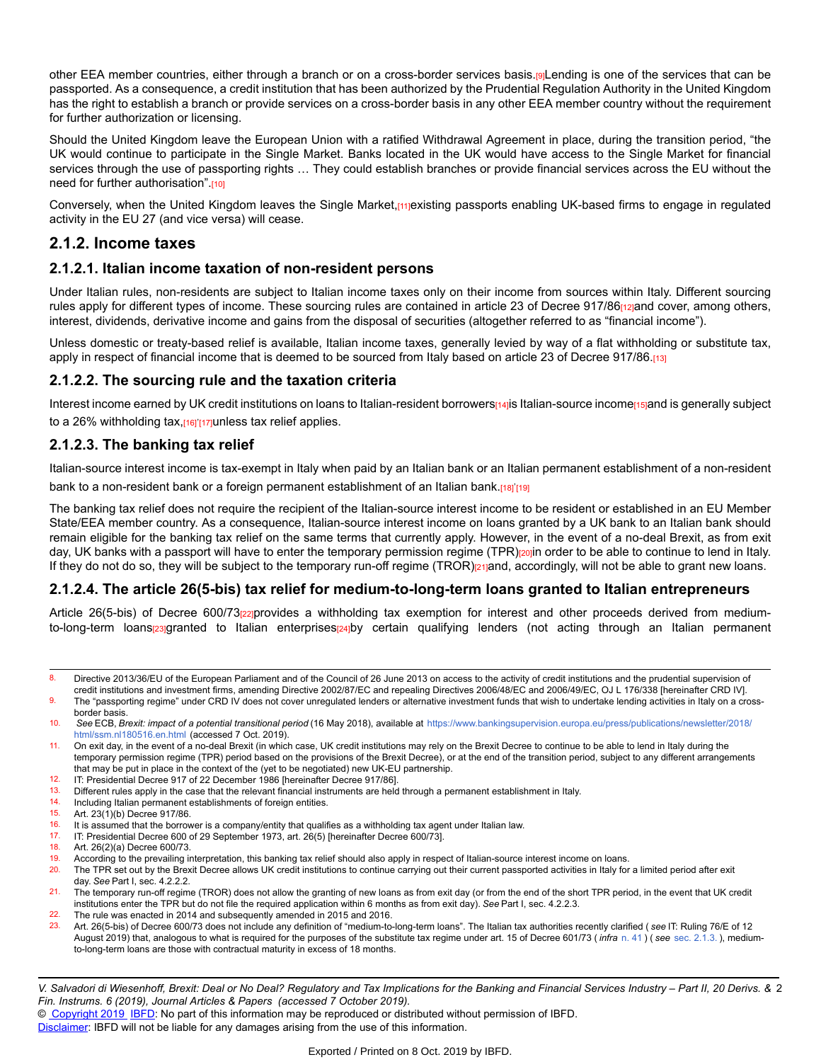other EEA member countries, either through a branch or on a cross-border services basis.[9]Lending is one of the services that can be passported. As a consequence, a credit institution that has been authorized by the Prudential Regulation Authority in the United Kingdom has the right to establish a branch or provide services on a cross-border basis in any other EEA member country without the requirement for further authorization or licensing.

Should the United Kingdom leave the European Union with a ratified Withdrawal Agreement in place, during the transition period, "the UK would continue to participate in the Single Market. Banks located in the UK would have access to the Single Market for financial services through the use of passporting rights ... They could establish branches or provide financial services across the EU without the need for further authorisation".[10]

Conversely, when the United Kingdom leaves the Single Market, mexisting passports enabling UK-based firms to engage in regulated activity in the EU 27 (and vice versa) will cease.

## **2.1.2. Income taxes**

#### **2.1.2.1. Italian income taxation of non-resident persons**

Under Italian rules, non-residents are subject to Italian income taxes only on their income from sources within Italy. Different sourcing rules apply for different types of income. These sourcing rules are contained in article 23 of Decree 917/86<sub>[12]</sub>and cover, among others, interest, dividends, derivative income and gains from the disposal of securities (altogether referred to as "financial income").

Unless domestic or treaty-based relief is available, Italian income taxes, generally levied by way of a flat withholding or substitute tax, apply in respect of financial income that is deemed to be sourced from Italy based on article 23 of Decree 917/86.[13]

#### **2.1.2.2. The sourcing rule and the taxation criteria**

Interest income earned by UK credit institutions on loans to Italian-resident borrowers[14]is Italian-source income[15]and is generally subject to a 26% withholding tax,<sub>[16]</sub>'<sub>[17]</sub>unless tax relief applies.

#### **2.1.2.3. The banking tax relief**

Italian-source interest income is tax-exempt in Italy when paid by an Italian bank or an Italian permanent establishment of a non-resident bank to a non-resident bank or a foreign permanent establishment of an Italian bank.<sub>[18]</sub>'<sub>[19]</sub>

The banking tax relief does not require the recipient of the Italian-source interest income to be resident or established in an EU Member State/EEA member country. As a consequence, Italian-source interest income on loans granted by a UK bank to an Italian bank should remain eligible for the banking tax relief on the same terms that currently apply. However, in the event of a no-deal Brexit, as from exit day, UK banks with a passport will have to enter the temporary permission regime (TPR)<sub>[20]</sub>in order to be able to continue to lend in Italy. If they do not do so, they will be subject to the temporary run-off regime (TROR)[21]and, accordingly, will not be able to grant new loans.

#### **2.1.2.4. The article 26(5-bis) tax relief for medium-to-long-term loans granted to Italian entrepreneurs**

Article 26(5-bis) of Decree 600/73<sub>[22]</sub>provides a withholding tax exemption for interest and other proceeds derived from mediumto-long-term loans[23]granted to Italian enterprises[24]by certain qualifying lenders (not acting through an Italian permanent

9. The "passporting regime" under CRD IV does not cover unregulated lenders or alternative investment funds that wish to undertake lending activities in Italy on a crossborder basis.

10. *See* ECB, *Brexit: impact of a potential transitional period* (16 May 2018), available at [https://www.bankingsupervision.europa.eu/press/publications/newsletter/2018](https://www.bankingsupervision.europa.eu/press/publications/newsletter/2018/html/ssm.nl180516.en.html)/ [html/ssm.nl180516.en.html](https://www.bankingsupervision.europa.eu/press/publications/newsletter/2018/html/ssm.nl180516.en.html) (accessed 7 Oct. 2019).

11. On exit day, in the event of a no-deal Brexit (in which case, UK credit institutions may rely on the Brexit Decree to continue to be able to lend in Italy during the temporary permission regime (TPR) period based on the provisions of the Brexit Decree), or at the end of the transition period, subject to any different arrangements that may be put in place in the context of the (yet to be negotiated) new UK-EU partnership.

- 12. IT: Presidential Decree 917 of 22 December 1986 [hereinafter Decree 917/86].
- 13. Different rules apply in the case that the relevant financial instruments are held through a permanent establishment in Italy.<br>14. Including Italian permanent establishments of foreign entities.
- 14. Including Italian permanent establishments of foreign entities.<br>15. Art. 23(1)(b) Decree 017/86
- 15. Art.  $23(1)(b)$  Decree 917/86.<br>16. It is assumed that the borrow
- 16. It is assumed that the borrower is a company/entity that qualifies as a withholding tax agent under Italian law.<br>17. IT: Presidential Decree 600 of 29 September 1973 art. 26(5) [hereinafter Decree 600/73]
- 17. IT: Presidential Decree 600 of 29 September 1973, art. 26(5) [hereinafter Decree 600/73].<br>18. Art. 26(2)(a) Decree 600/73
- Art. 26(2)(a) Decree 600/73.
- 19. According to the prevailing interpretation, this banking tax relief should also apply in respect of Italian-source interest income on loans.<br>20. The TPR set out by the Brexit Decree allows LIK credit institutions to co
- The TPR set out by the Brexit Decree allows UK credit institutions to continue carrying out their current passported activities in Italy for a limited period after exit day. *See* Part I, sec. 4.2.2.2.
- 21. The temporary run-off regime (TROR) does not allow the granting of new loans as from exit day (or from the end of the short TPR period, in the event that UK credit institutions enter the TPR but do not file the required application within 6 months as from exit day). *See* Part I, sec. 4.2.2.3.
- 22. The rule was enacted in 2014 and subsequently amended in 2015 and 2016.<br>23. Art. 26(5-bis) of Decree 600/73 does not include any definition of "medium-to-
- 23. Art. 26(5-bis) of Decree 600/73 does not include any definition of "medium-to-long-term loans". The Italian tax authorities recently clarified ( *see* IT: Ruling 76/E of 12 August 2019) that, analogous to what is required for the purposes of the substitute tax regime under art. 15 of Decree 601/73 ( *infra* [n. 41](https://research.ibfd.org/#/doc?url=/linkresolver/static/dfi_2019_06_it_1_fn_41#dfi_2019_06_it_1_fn_41) ) ( *see* [sec. 2.1.3.](https://research.ibfd.org/#/doc?url=/linkresolver/static/dfi_2019_06_it_1_s_2_1_3#dfi_2019_06_it_1_s_2_1_3) ), mediumto-long-term loans are those with contractual maturity in excess of 18 months.

V. Salvadori di Wiesenhoff, Brexit: Deal or No Deal? Regulatory and Tax Implications for the Banking and Financial Services Industry – Part II, 20 Derivs. & 2 *Fin. Instrums. 6 (2019), Journal Articles & Papers (accessed 7 October 2019).*

© [Copyright 2019](http://www.ibfd.org/Copyright-IBFD) [IBFD:](http://www.ibfd.org) No part of this information may be reproduced or distributed without permission of IBFD.

<sup>8.</sup> Directive 2013/36/EU of the European Parliament and of the Council of 26 June 2013 on access to the activity of credit institutions and the prudential supervision of credit institutions and investment firms, amending Directive 2002/87/EC and repealing Directives 2006/48/EC and 2006/49/EC, OJ L 176/338 [hereinafter CRD IV].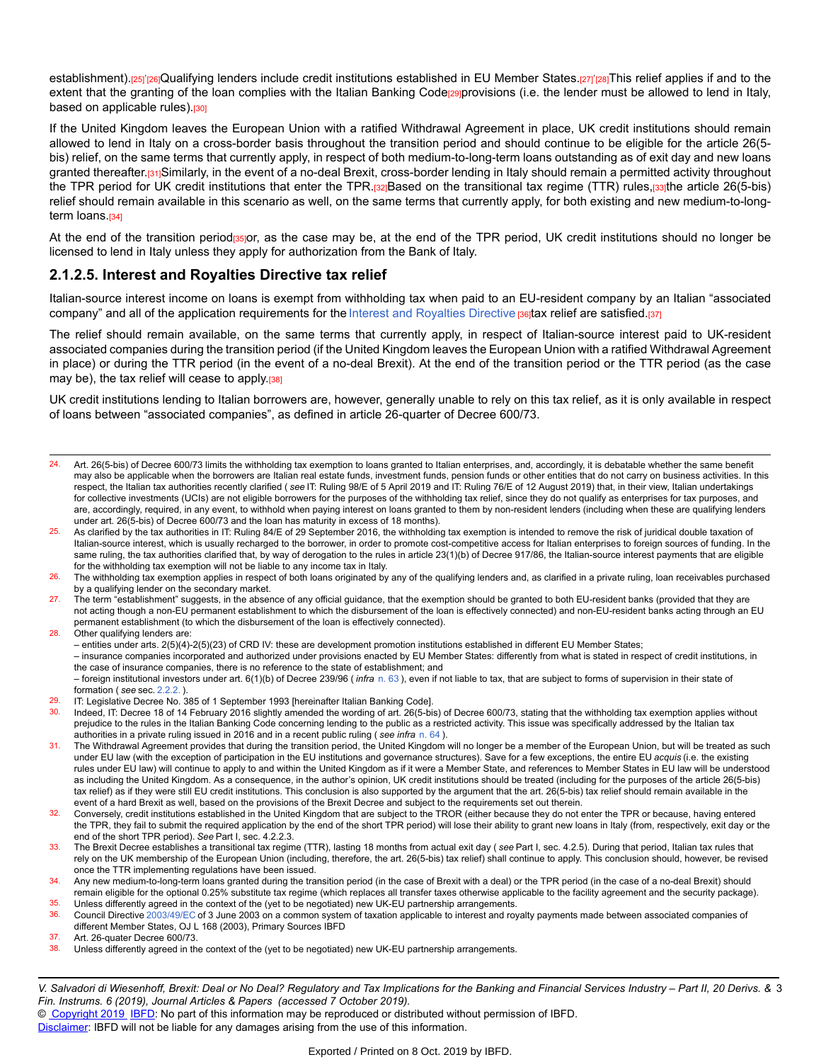establishment).<sub>[25]</sub>'<sub>[26]</sub>Qualifying lenders include credit institutions established in EU Member States.<sub>[27]</sub>'<sub>[28]</sub>This relief applies if and to the extent that the granting of the loan complies with the Italian Banking Codegg provisions (i.e. the lender must be allowed to lend in Italy, based on applicable rules).[30]

If the United Kingdom leaves the European Union with a ratified Withdrawal Agreement in place, UK credit institutions should remain allowed to lend in Italy on a cross-border basis throughout the transition period and should continue to be eligible for the article 26(5 bis) relief, on the same terms that currently apply, in respect of both medium-to-long-term loans outstanding as of exit day and new loans granted thereafter.[31]Similarly, in the event of a no-deal Brexit, cross-border lending in Italy should remain a permitted activity throughout the TPR period for UK credit institutions that enter the TPR.[32]Based on the transitional tax regime (TTR) rules,[33]the article 26(5-bis) relief should remain available in this scenario as well, on the same terms that currently apply, for both existing and new medium-to-longterm loans.<sup>[34]</sup>

At the end of the transition period<sub>[35]</sub>or, as the case may be, at the end of the TPR period, UK credit institutions should no longer be licensed to lend in Italy unless they apply for authorization from the Bank of Italy.

#### **2.1.2.5. Interest and Royalties Directive tax relief**

Italian-source interest income on loans is exempt from withholding tax when paid to an EU-resident company by an Italian "associated company" and all of the application requirements for the [Interest and Royalties Directive](https://research.ibfd.org/#/doc?url=/linkresolver/static/tt_e2_82_eng_2003_tt#tt_e2_82_eng_2003_tt) potax relief are satisfied.[37]

The relief should remain available, on the same terms that currently apply, in respect of Italian-source interest paid to UK-resident associated companies during the transition period (if the United Kingdom leaves the European Union with a ratified Withdrawal Agreement in place) or during the TTR period (in the event of a no-deal Brexit). At the end of the transition period or the TTR period (as the case may be), the tax relief will cease to apply.<sup>[38]</sup>

UK credit institutions lending to Italian borrowers are, however, generally unable to rely on this tax relief, as it is only available in respect of loans between "associated companies", as defined in article 26-quarter of Decree 600/73.

- 24. Art. 26(5-bis) of Decree 600/73 limits the withholding tax exemption to loans granted to Italian enterprises, and, accordingly, it is debatable whether the same benefit may also be applicable when the borrowers are Italian real estate funds, investment funds, pension funds or other entities that do not carry on business activities. In this respect, the Italian tax authorities recently clarified ( *see* IT: Ruling 98/E of 5 April 2019 and IT: Ruling 76/E of 12 August 2019) that, in their view, Italian undertakings for collective investments (UCIs) are not eligible borrowers for the purposes of the withholding tax relief, since they do not qualify as enterprises for tax purposes, and are, accordingly, required, in any event, to withhold when paying interest on loans granted to them by non-resident lenders (including when these are qualifying lenders under art. 26(5-bis) of Decree 600/73 and the loan has maturity in excess of 18 months).
- As clarified by the tax authorities in IT: Ruling 84/E of 29 September 2016, the withholding tax exemption is intended to remove the risk of juridical double taxation of Italian-source interest, which is usually recharged to the borrower, in order to promote cost-competitive access for Italian enterprises to foreign sources of funding. In the same ruling, the tax authorities clarified that, by way of derogation to the rules in article 23(1)(b) of Decree 917/86, the Italian-source interest payments that are eligible for the withholding tax exemption will not be liable to any income tax in Italy.
- The withholding tax exemption applies in respect of both loans originated by any of the qualifying lenders and, as clarified in a private ruling, loan receivables purchased by a qualifying lender on the secondary market.
- 27. The term "establishment" suggests, in the absence of any official guidance, that the exemption should be granted to both EU-resident banks (provided that they are not acting though a non-EU permanent establishment to which the disbursement of the loan is effectively connected) and non-EU-resident banks acting through an EU permanent establishment (to which the disbursement of the loan is effectively connected).
- 28. Other qualifying lenders are:
	- entities under arts. 2(5)(4)-2(5)(23) of CRD IV: these are development promotion institutions established in different EU Member States;

– insurance companies incorporated and authorized under provisions enacted by EU Member States: differently from what is stated in respect of credit institutions, in the case of insurance companies, there is no reference to the state of establishment; and

– foreign institutional investors under art. 6(1)(b) of Decree 239/96 ( *infra* [n. 63](https://research.ibfd.org/#/doc?url=/linkresolver/static/dfi_2019_06_it_1_fn_63#dfi_2019_06_it_1_fn_63) ), even if not liable to tax, that are subject to forms of supervision in their state of formation ( *see* sec. [2.2.2.](https://research.ibfd.org/#/doc?url=/linkresolver/static/dfi_2019_06_it_1_s_2_2_2#dfi_2019_06_it_1_s_2_2_2) ).

- IT: Legislative Decree No. 385 of 1 September 1993 [hereinafter Italian Banking Code].
- 30. Indeed, IT: Decree 18 of 14 February 2016 slightly amended the wording of art. 26(5-bis) of Decree 600/73, stating that the withholding tax exemption applies without prejudice to the rules in the Italian Banking Code concerning lending to the public as a restricted activity. This issue was specifically addressed by the Italian tax authorities in a private ruling issued in 2016 and in a recent public ruling ( *see infra* [n. 64](https://research.ibfd.org/#/doc?url=/linkresolver/static/dfi_2019_06_it_1_fn_64#dfi_2019_06_it_1_fn_64) ).
- 31. The Withdrawal Agreement provides that during the transition period, the United Kingdom will no longer be a member of the European Union, but will be treated as such under EU law (with the exception of participation in the EU institutions and governance structures). Save for a few exceptions, the entire EU *acquis* (i.e. the existing rules under EU law) will continue to apply to and within the United Kingdom as if it were a Member State, and references to Member States in EU law will be understood as including the United Kingdom. As a consequence, in the author's opinion, UK credit institutions should be treated (including for the purposes of the article 26(5-bis) tax relief) as if they were still EU credit institutions. This conclusion is also supported by the argument that the art. 26(5-bis) tax relief should remain available in the event of a hard Brexit as well, based on the provisions of the Brexit Decree and subject to the requirements set out therein.
- Conversely, credit institutions established in the United Kingdom that are subject to the TROR (either because they do not enter the TPR or because, having entered the TPR, they fail to submit the required application by the end of the short TPR period) will lose their ability to grant new loans in Italy (from, respectively, exit day or the end of the short TPR period). *See* Part I, sec. 4.2.2.3.
- 33. The Brexit Decree establishes a transitional tax regime (TTR), lasting 18 months from actual exit day ( *see* Part I, sec. 4.2.5). During that period, Italian tax rules that rely on the UK membership of the European Union (including, therefore, the art. 26(5-bis) tax relief) shall continue to apply. This conclusion should, however, be revised once the TTR implementing regulations have been issued.
- 34. Any new medium-to-long-term loans granted during the transition period (in the case of Brexit with a deal) or the TPR period (in the case of a no-deal Brexit) should remain eligible for the optional 0.25% substitute tax regime (which replaces all transfer taxes otherwise applicable to the facility agreement and the security package). 35. Unless differently agreed in the context of the (yet to be negotiated) new UK-EU partnership arrangements.
- 36. Council Directive [2003/49/EC](https://research.ibfd.org/#/doc?url=/linkresolver/static/tt_e2_82_eng_2003_tt#tt_e2_82_eng_2003_tt) of 3 June 2003 on a common system of taxation applicable to interest and royalty payments made between associated companies of different Member States, OJ L 168 (2003), Primary Sources IBFD
- 37. Art. 26-quater Decree 600/73.<br>38. Unless differently agreed in th
- Unless differently agreed in the context of the (yet to be negotiated) new UK-EU partnership arrangements.

V. Salvadori di Wiesenhoff, Brexit: Deal or No Deal? Regulatory and Tax Implications for the Banking and Financial Services Industry – Part II, 20 Derivs. & 3 *Fin. Instrums. 6 (2019), Journal Articles & Papers (accessed 7 October 2019).*

© [Copyright 2019](http://www.ibfd.org/Copyright-IBFD) [IBFD:](http://www.ibfd.org) No part of this information may be reproduced or distributed without permission of IBFD.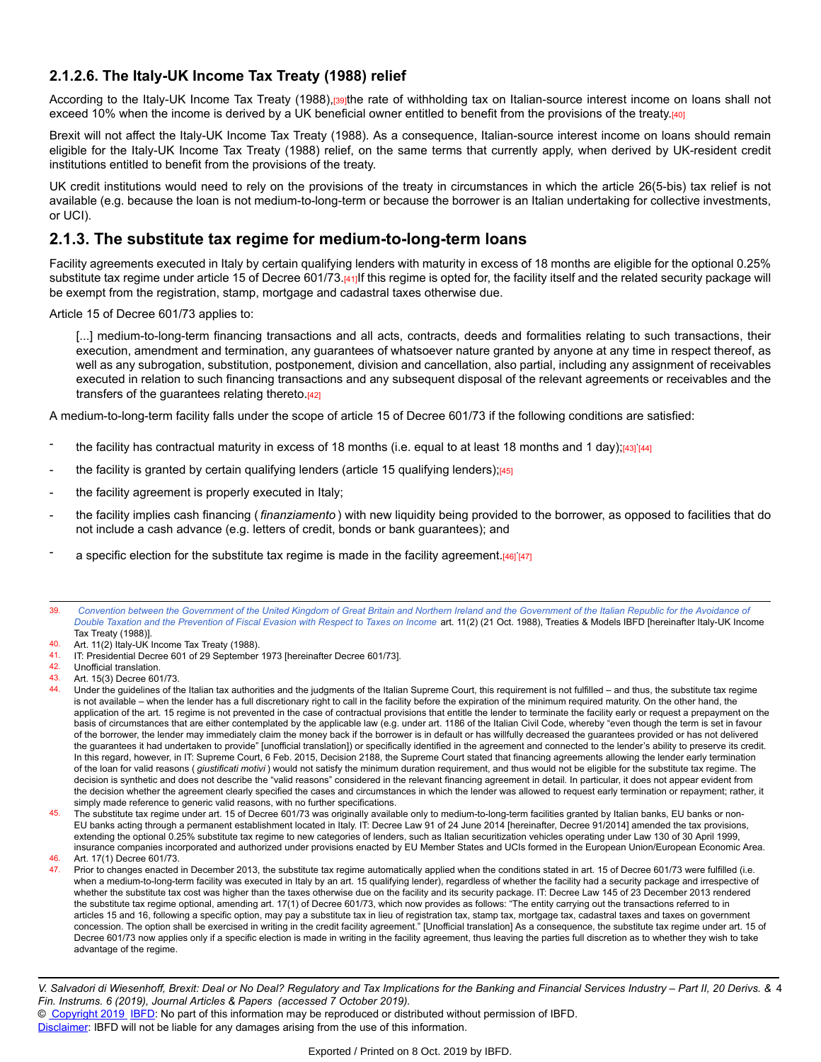#### **2.1.2.6. The Italy-UK Income Tax Treaty (1988) relief**

According to the Italy-UK Income Tax Treaty (1988), regite rate of withholding tax on Italian-source interest income on loans shall not exceed 10% when the income is derived by a UK beneficial owner entitled to benefit from the provisions of the treaty.[40]

Brexit will not affect the Italy-UK Income Tax Treaty (1988). As a consequence, Italian-source interest income on loans should remain eligible for the Italy-UK Income Tax Treaty (1988) relief, on the same terms that currently apply, when derived by UK-resident credit institutions entitled to benefit from the provisions of the treaty.

UK credit institutions would need to rely on the provisions of the treaty in circumstances in which the article 26(5-bis) tax relief is not available (e.g. because the loan is not medium-to-long-term or because the borrower is an Italian undertaking for collective investments, or UCI).

### **2.1.3. The substitute tax regime for medium-to-long-term loans**

Facility agreements executed in Italy by certain qualifying lenders with maturity in excess of 18 months are eligible for the optional 0.25% substitute tax regime under article 15 of Decree 601/73.[41]If this regime is opted for, the facility itself and the related security package will be exempt from the registration, stamp, mortgage and cadastral taxes otherwise due.

Article 15 of Decree 601/73 applies to:

[...] medium-to-long-term financing transactions and all acts, contracts, deeds and formalities relating to such transactions, their execution, amendment and termination, any guarantees of whatsoever nature granted by anyone at any time in respect thereof, as well as any subrogation, substitution, postponement, division and cancellation, also partial, including any assignment of receivables executed in relation to such financing transactions and any subsequent disposal of the relevant agreements or receivables and the transfers of the guarantees relating thereto.<sup>[42]</sup>

A medium-to-long-term facility falls under the scope of article 15 of Decree 601/73 if the following conditions are satisfied:

- the facility has contractual maturity in excess of 18 months (i.e. equal to at least 18 months and 1 day);<mark>[43]</mark>'[44]
- the facility is granted by certain qualifying lenders (article 15 qualifying lenders); $[45]$
- the facility agreement is properly executed in Italy;
- the facility implies cash financing ( *finanziamento* ) with new liquidity being provided to the borrower, as opposed to facilities that do not include a cash advance (e.g. letters of credit, bonds or bank guarantees); and
- a specific election for the substitute tax regime is made in the facility agreement.[46]'[47]

45. The substitute tax regime under art. 15 of Decree 601/73 was originally available only to medium-to-long-term facilities granted by Italian banks, EU banks or non-EU banks acting through a permanent establishment located in Italy. IT: Decree Law 91 of 24 June 2014 [hereinafter, Decree 91/2014] amended the tax provisions, extending the optional 0.25% substitute tax regime to new categories of lenders, such as Italian securitization vehicles operating under Law 130 of 30 April 1999, insurance companies incorporated and authorized under provisions enacted by EU Member States and UCIs formed in the European Union/European Economic Area.

46. Art. 17(1) Decree 601/73.<br>47 Prior to changes enacted

Prior to changes enacted in December 2013, the substitute tax regime automatically applied when the conditions stated in art. 15 of Decree 601/73 were fulfilled (i.e. when a medium-to-long-term facility was executed in Italy by an art. 15 qualifying lender), regardless of whether the facility had a security package and irrespective of whether the substitute tax cost was higher than the taxes otherwise due on the facility and its security package. IT: Decree Law 145 of 23 December 2013 rendered the substitute tax regime optional, amending art. 17(1) of Decree 601/73, which now provides as follows: "The entity carrying out the transactions referred to in articles 15 and 16, following a specific option, may pay a substitute tax in lieu of registration tax, stamp tax, mortgage tax, cadastral taxes and taxes on government concession. The option shall be exercised in writing in the credit facility agreement." [Unofficial translation] As a consequence, the substitute tax regime under art. 15 of Decree 601/73 now applies only if a specific election is made in writing in the facility agreement, thus leaving the parties full discretion as to whether they wish to take advantage of the regime.

<sup>39.</sup> Convention between the [Government](https://research.ibfd.org/#/doc?url=/linkresolver/static/tt_it-uk_01_eng_1988_tt#tt_it-uk_01_eng_1988_tt) of the United Kingdom of Great Britain and Northern Ireland and the Government of the Italian Republic for the Avoidance of Double Taxation and the [Prevention](https://research.ibfd.org/#/doc?url=/linkresolver/static/tt_it-uk_01_eng_1988_tt#tt_it-uk_01_eng_1988_tt) of Fiscal Evasion with Respect to Taxes on Income art. 11(2) (21 Oct. 1988), Treaties & Models IBFD [hereinafter Italy-UK Income Tax Treaty (1988)].

<sup>40.</sup> Art. 11(2) Italy-UK Income Tax Treaty (1988).<br>41. IT: Presidential Decree 601 of 29 Sentember

IT: Presidential Decree 601 of 29 September 1973 [hereinafter Decree 601/73].

<sup>42.</sup> Unofficial translation.<br>43 Art 15(3) Decree 60

Art. 15(3) Decree 601/73.

<sup>44.</sup> Under the guidelines of the Italian tax authorities and the judgments of the Italian Supreme Court, this requirement is not fulfilled – and thus, the substitute tax regime is not available – when the lender has a full discretionary right to call in the facility before the expiration of the minimum required maturity. On the other hand, the application of the art. 15 regime is not prevented in the case of contractual provisions that entitle the lender to terminate the facility early or request a prepayment on the basis of circumstances that are either contemplated by the applicable law (e.g. under art. 1186 of the Italian Civil Code, whereby "even though the term is set in favour of the borrower, the lender may immediately claim the money back if the borrower is in default or has willfully decreased the guarantees provided or has not delivered the guarantees it had undertaken to provide" [unofficial translation]) or specifically identified in the agreement and connected to the lender's ability to preserve its credit. In this regard, however, in IT: Supreme Court, 6 Feb. 2015, Decision 2188, the Supreme Court stated that financing agreements allowing the lender early termination of the loan for valid reasons ( *giustificati motivi* ) would not satisfy the minimum duration requirement, and thus would not be eligible for the substitute tax regime. The decision is synthetic and does not describe the "valid reasons" considered in the relevant financing agreement in detail. In particular, it does not appear evident from the decision whether the agreement clearly specified the cases and circumstances in which the lender was allowed to request early termination or repayment; rather, it simply made reference to generic valid reasons, with no further specifications.

V. Salvadori di Wiesenhoff, Brexit: Deal or No Deal? Regulatory and Tax Implications for the Banking and Financial Services Industry – Part II, 20 Derivs. & 4 *Fin. Instrums. 6 (2019), Journal Articles & Papers (accessed 7 October 2019).*

<sup>©</sup> [Copyright 2019](http://www.ibfd.org/Copyright-IBFD) [IBFD:](http://www.ibfd.org) No part of this information may be reproduced or distributed without permission of IBFD.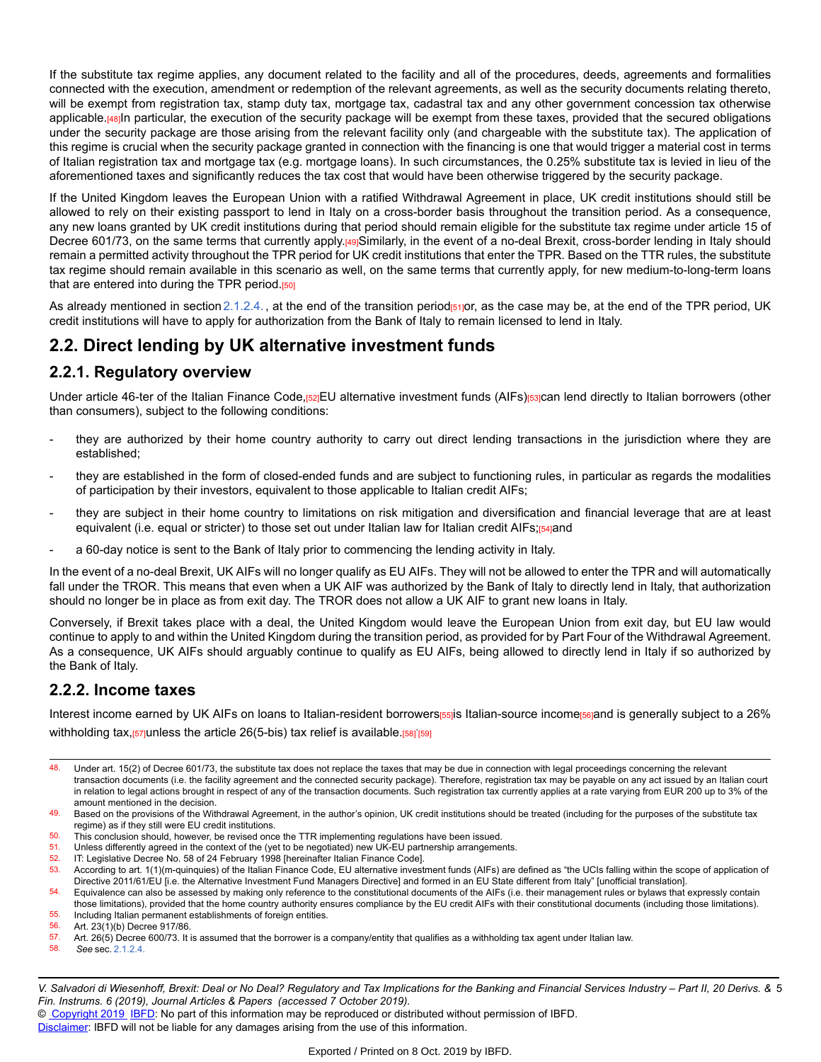If the substitute tax regime applies, any document related to the facility and all of the procedures, deeds, agreements and formalities connected with the execution, amendment or redemption of the relevant agreements, as well as the security documents relating thereto, will be exempt from registration tax, stamp duty tax, mortgage tax, cadastral tax and any other government concession tax otherwise applicable.[48]In particular, the execution of the security package will be exempt from these taxes, provided that the secured obligations under the security package are those arising from the relevant facility only (and chargeable with the substitute tax). The application of this regime is crucial when the security package granted in connection with the financing is one that would trigger a material cost in terms of Italian registration tax and mortgage tax (e.g. mortgage loans). In such circumstances, the 0.25% substitute tax is levied in lieu of the aforementioned taxes and significantly reduces the tax cost that would have been otherwise triggered by the security package.

If the United Kingdom leaves the European Union with a ratified Withdrawal Agreement in place, UK credit institutions should still be allowed to rely on their existing passport to lend in Italy on a cross-border basis throughout the transition period. As a consequence, any new loans granted by UK credit institutions during that period should remain eligible for the substitute tax regime under article 15 of Decree 601/73, on the same terms that currently apply.[49]Similarly, in the event of a no-deal Brexit, cross-border lending in Italy should remain a permitted activity throughout the TPR period for UK credit institutions that enter the TPR. Based on the TTR rules, the substitute tax regime should remain available in this scenario as well, on the same terms that currently apply, for new medium-to-long-term loans that are entered into during the TPR period.<sup>[50]</sup>

As already mentioned in section [2.1.2.4.](https://research.ibfd.org/#/doc?url=/linkresolver/static/dfi_2019_06_it_1_s_2_1_2_4#dfi_2019_06_it_1_s_2_1_2_4), at the end of the transition period<sub>[51]</sub>or, as the case may be, at the end of the TPR period, UK credit institutions will have to apply for authorization from the Bank of Italy to remain licensed to lend in Italy.

# **2.2. Direct lending by UK alternative investment funds**

## **2.2.1. Regulatory overview**

Under article 46-ter of the Italian Finance Code,[52]EU alternative investment funds (AIFs)[53]can lend directly to Italian borrowers (other than consumers), subject to the following conditions:

- they are authorized by their home country authority to carry out direct lending transactions in the jurisdiction where they are established;
- they are established in the form of closed-ended funds and are subject to functioning rules, in particular as regards the modalities of participation by their investors, equivalent to those applicable to Italian credit AIFs;
- they are subject in their home country to limitations on risk mitigation and diversification and financial leverage that are at least equivalent (i.e. equal or stricter) to those set out under Italian law for Italian credit AIFs;[54]and
- a 60-day notice is sent to the Bank of Italy prior to commencing the lending activity in Italy.

In the event of a no-deal Brexit, UK AIFs will no longer qualify as EU AIFs. They will not be allowed to enter the TPR and will automatically fall under the TROR. This means that even when a UK AIF was authorized by the Bank of Italy to directly lend in Italy, that authorization should no longer be in place as from exit day. The TROR does not allow a UK AIF to grant new loans in Italy.

Conversely, if Brexit takes place with a deal, the United Kingdom would leave the European Union from exit day, but EU law would continue to apply to and within the United Kingdom during the transition period, as provided for by Part Four of the Withdrawal Agreement. As a consequence, UK AIFs should arguably continue to qualify as EU AIFs, being allowed to directly lend in Italy if so authorized by the Bank of Italy.

## **2.2.2. Income taxes**

Interest income earned by UK AIFs on loans to Italian-resident borrowers[55]is Italian-source income[56]and is generally subject to a 26% withholding tax,<sub>[57]</sub>unless the article 26(5-bis) tax relief is available.<sub>[58]</sub>'<sub>[59]</sub>

48. Under art. 15(2) of Decree 601/73, the substitute tax does not replace the taxes that may be due in connection with legal proceedings concerning the relevant transaction documents (i.e. the facility agreement and the connected security package). Therefore, registration tax may be payable on any act issued by an Italian court in relation to legal actions brought in respect of any of the transaction documents. Such registration tax currently applies at a rate varying from EUR 200 up to 3% of the amount mentioned in the decision.

49. Based on the provisions of the Withdrawal Agreement, in the author's opinion, UK credit institutions should be treated (including for the purposes of the substitute tax regime) as if they still were EU credit institutions.

- 50. This conclusion should, however, be revised once the TTR implementing regulations have been issued.<br>51. Unless differently agreed in the context of the (yet to be negotiated) new UK-EU partnership arrangement
- Unless differently agreed in the context of the (yet to be negotiated) new UK-EU partnership arrangements.
- 52. IT: Legislative Decree No. 58 of 24 February 1998 [hereinafter Italian Finance Code].<br>53. According to art. 1(1) (m-guinguies) of the Italian Finance Code. ELL alternative invest
- According to art. 1(1)(m-quinquies) of the Italian Finance Code, EU alternative investment funds (AIFs) are defined as "the UCIs falling within the scope of application of Directive 2011/61/EU [i.e. the Alternative Investment Fund Managers Directive] and formed in an EU State different from Italy" [unofficial translation].

- 55. Including Italian permanent establishments of foreign entities.<br>56. Art. 23(1)(b) Decree 917/86 Art. 23(1)(b) Decree 917/86.
- 57. Art. 26(5) Decree 600/73. It is assumed that the borrower is a company/entity that qualifies as a withholding tax agent under Italian law.<br>58. See sec 2124
- 58. *See* sec. [2.1.2.4.](https://research.ibfd.org/#/doc?url=/linkresolver/static/dfi_2019_06_it_1_s_2_1_2_4#dfi_2019_06_it_1_s_2_1_2_4)

© [Copyright 2019](http://www.ibfd.org/Copyright-IBFD) [IBFD:](http://www.ibfd.org) No part of this information may be reproduced or distributed without permission of IBFD.

<sup>54.</sup> Equivalence can also be assessed by making only reference to the constitutional documents of the AIFs (i.e. their management rules or bylaws that expressly contain those limitations), provided that the home country authority ensures compliance by the EU credit AIFs with their constitutional documents (including those limitations).

V. Salvadori di Wiesenhoff, Brexit: Deal or No Deal? Regulatory and Tax Implications for the Banking and Financial Services Industry – Part II, 20 Derivs. & 5 *Fin. Instrums. 6 (2019), Journal Articles & Papers (accessed 7 October 2019).*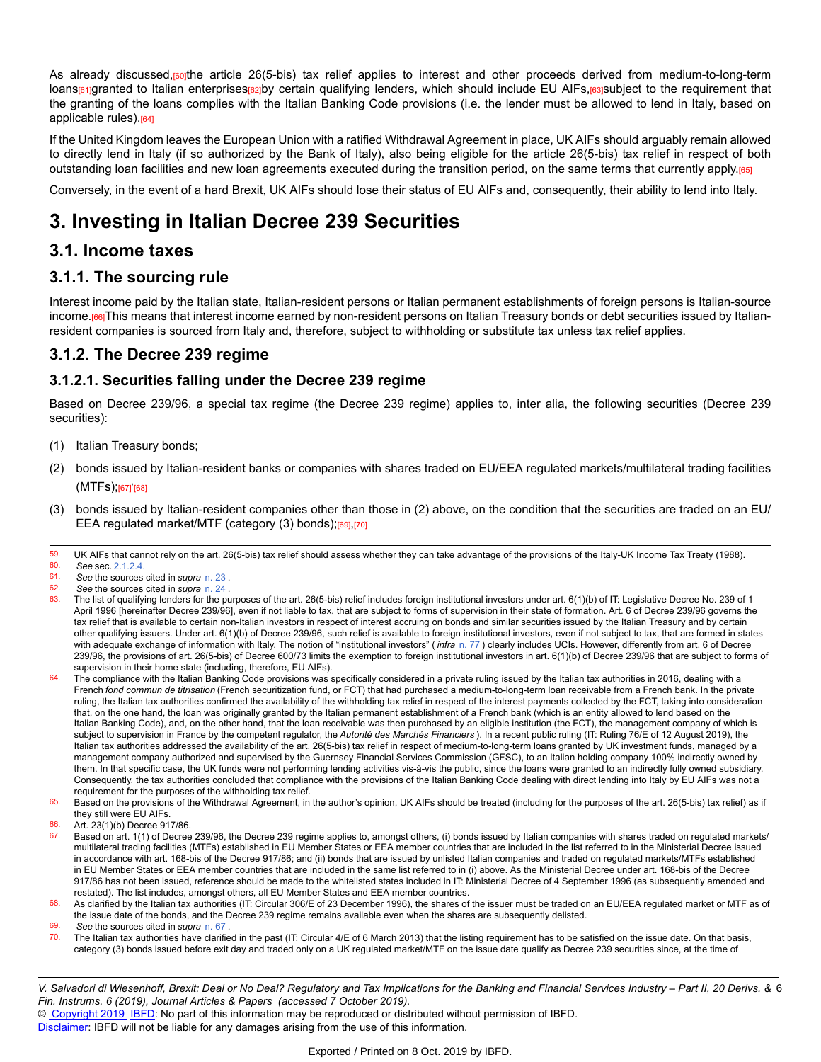As already discussed, routhe article 26(5-bis) tax relief applies to interest and other proceeds derived from medium-to-long-term loans<sub>[61]</sub>granted to Italian enterprises<sub>[62]</sub>by certain qualifying lenders, which should include EU AIFs,[63]subject to the requirement that the granting of the loans complies with the Italian Banking Code provisions (i.e. the lender must be allowed to lend in Italy, based on applicable rules).<sup>[64]</sup>

If the United Kingdom leaves the European Union with a ratified Withdrawal Agreement in place, UK AIFs should arguably remain allowed to directly lend in Italy (if so authorized by the Bank of Italy), also being eligible for the article 26(5-bis) tax relief in respect of both outstanding loan facilities and new loan agreements executed during the transition period, on the same terms that currently apply.[65]

Conversely, in the event of a hard Brexit, UK AIFs should lose their status of EU AIFs and, consequently, their ability to lend into Italy.

# **3. Investing in Italian Decree 239 Securities**

# **3.1. Income taxes**

## **3.1.1. The sourcing rule**

Interest income paid by the Italian state, Italian-resident persons or Italian permanent establishments of foreign persons is Italian-source income.[66]This means that interest income earned by non-resident persons on Italian Treasury bonds or debt securities issued by Italianresident companies is sourced from Italy and, therefore, subject to withholding or substitute tax unless tax relief applies.

## **3.1.2. The Decree 239 regime**

## **3.1.2.1. Securities falling under the Decree 239 regime**

Based on Decree 239/96, a special tax regime (the Decree 239 regime) applies to, inter alia, the following securities (Decree 239 securities):

- (1) Italian Treasury bonds;
- (2) bonds issued by Italian-resident banks or companies with shares traded on EU/EEA regulated markets/multilateral trading facilities (MTFs);<sub>[67]</sub>'<sub>[68]</sub>
- (3) bonds issued by Italian-resident companies other than those in (2) above, on the condition that the securities are traded on an EU/ EEA regulated market/MTF (category (3) bonds);[69],[70]

- 61. *See* the sources cited in *supra* [n. 23](https://research.ibfd.org/#/doc?url=/linkresolver/static/dfi_2019_06_it_1_fn_23#dfi_2019_06_it_1_fn_23) .
- 62. *See* the sources cited in *supra* [n. 24](https://research.ibfd.org/#/doc?url=/linkresolver/static/dfi_2019_06_it_1_fn_24#dfi_2019_06_it_1_fn_24) .
- 63. The list of qualifying lenders for the purposes of the art. 26(5-bis) relief includes foreign institutional investors under art. 6(1)(b) of IT: Legislative Decree No. 239 of 1 April 1996 [hereinafter Decree 239/96], even if not liable to tax, that are subject to forms of supervision in their state of formation. Art. 6 of Decree 239/96 governs the tax relief that is available to certain non-Italian investors in respect of interest accruing on bonds and similar securities issued by the Italian Treasury and by certain other qualifying issuers. Under art. 6(1)(b) of Decree 239/96, such relief is available to foreign institutional investors, even if not subject to tax, that are formed in states with adequate exchange of information with Italy. The notion of "institutional investors" (*infra* [n. 77](https://research.ibfd.org/#/doc?url=/linkresolver/static/dfi_2019_06_it_1_fn_77#dfi_2019_06_it_1_fn_77)) clearly includes UCIs. However, differently from art. 6 of Decree 239/96, the provisions of art. 26(5-bis) of Decree 600/73 limits the exemption to foreign institutional investors in art. 6(1)(b) of Decree 239/96 that are subject to forms of supervision in their home state (including, therefore, EU AIFs).
- 64. The compliance with the Italian Banking Code provisions was specifically considered in a private ruling issued by the Italian tax authorities in 2016, dealing with a French *fond commun de titrisation* (French securitization fund, or FCT) that had purchased a medium-to-long-term loan receivable from a French bank. In the private ruling, the Italian tax authorities confirmed the availability of the withholding tax relief in respect of the interest payments collected by the FCT, taking into consideration that, on the one hand, the loan was originally granted by the Italian permanent establishment of a French bank (which is an entity allowed to lend based on the Italian Banking Code), and, on the other hand, that the loan receivable was then purchased by an eligible institution (the FCT), the management company of which is subject to supervision in France by the competent regulator, the *Autorité des Marchés Financiers* ). In a recent public ruling (IT: Ruling 76/E of 12 August 2019), the Italian tax authorities addressed the availability of the art. 26(5-bis) tax relief in respect of medium-to-long-term loans granted by UK investment funds, managed by a management company authorized and supervised by the Guernsey Financial Services Commission (GFSC), to an Italian holding company 100% indirectly owned by them. In that specific case, the UK funds were not performing lending activities vis-à-vis the public, since the loans were granted to an indirectly fully owned subsidiary. Consequently, the tax authorities concluded that compliance with the provisions of the Italian Banking Code dealing with direct lending into Italy by EU AIFs was not a requirement for the purposes of the withholding tax relief.

65. Based on the provisions of the Withdrawal Agreement, in the author's opinion, UK AIFs should be treated (including for the purposes of the art. 26(5-bis) tax relief) as if they still were EU AIFs.

69. *See* the sources cited in *supra* [n. 67](https://research.ibfd.org/#/doc?url=/linkresolver/static/dfi_2019_06_it_1_fn_67#dfi_2019_06_it_1_fn_67) .

 $70.$  The Italian tax authorities have clarified in the past (IT: Circular 4/E of 6 March 2013) that the listing requirement has to be satisfied on the issue date. On that basis, category (3) bonds issued before exit day and traded only on a UK regulated market/MTF on the issue date qualify as Decree 239 securities since, at the time of

V. Salvadori di Wiesenhoff, Brexit: Deal or No Deal? Regulatory and Tax Implications for the Banking and Financial Services Industry – Part II, 20 Derivs. & 6 *Fin. Instrums. 6 (2019), Journal Articles & Papers (accessed 7 October 2019).*

© [Copyright 2019](http://www.ibfd.org/Copyright-IBFD) [IBFD:](http://www.ibfd.org) No part of this information may be reproduced or distributed without permission of IBFD.

<sup>59.</sup> UK AIFs that cannot rely on the art. 26(5-bis) tax relief should assess whether they can take advantage of the provisions of the Italy-UK Income Tax Treaty (1988).

<sup>60.</sup> *See* sec. [2.1.2.4.](https://research.ibfd.org/#/doc?url=/linkresolver/static/dfi_2019_06_it_1_s_2_1_2_4#dfi_2019_06_it_1_s_2_1_2_4)

<sup>66.</sup> Art. 23(1)(b) Decree 917/86.<br>67. Based on art 1(1) of Decree

Based on art. 1(1) of Decree 239/96, the Decree 239 regime applies to, amongst others, (i) bonds issued by Italian companies with shares traded on regulated markets/ multilateral trading facilities (MTFs) established in EU Member States or EEA member countries that are included in the list referred to in the Ministerial Decree issued in accordance with art. 168-bis of the Decree 917/86; and (ii) bonds that are issued by unlisted Italian companies and traded on regulated markets/MTFs established in EU Member States or EEA member countries that are included in the same list referred to in (i) above. As the Ministerial Decree under art. 168-bis of the Decree 917/86 has not been issued, reference should be made to the whitelisted states included in IT: Ministerial Decree of 4 September 1996 (as subsequently amended and restated). The list includes, amongst others, all EU Member States and EEA member countries.

<sup>68.</sup> As clarified by the Italian tax authorities (IT: Circular 306/E of 23 December 1996), the shares of the issuer must be traded on an EU/EEA regulated market or MTF as of the issue date of the bonds, and the Decree 239 regime remains available even when the shares are subsequently delisted.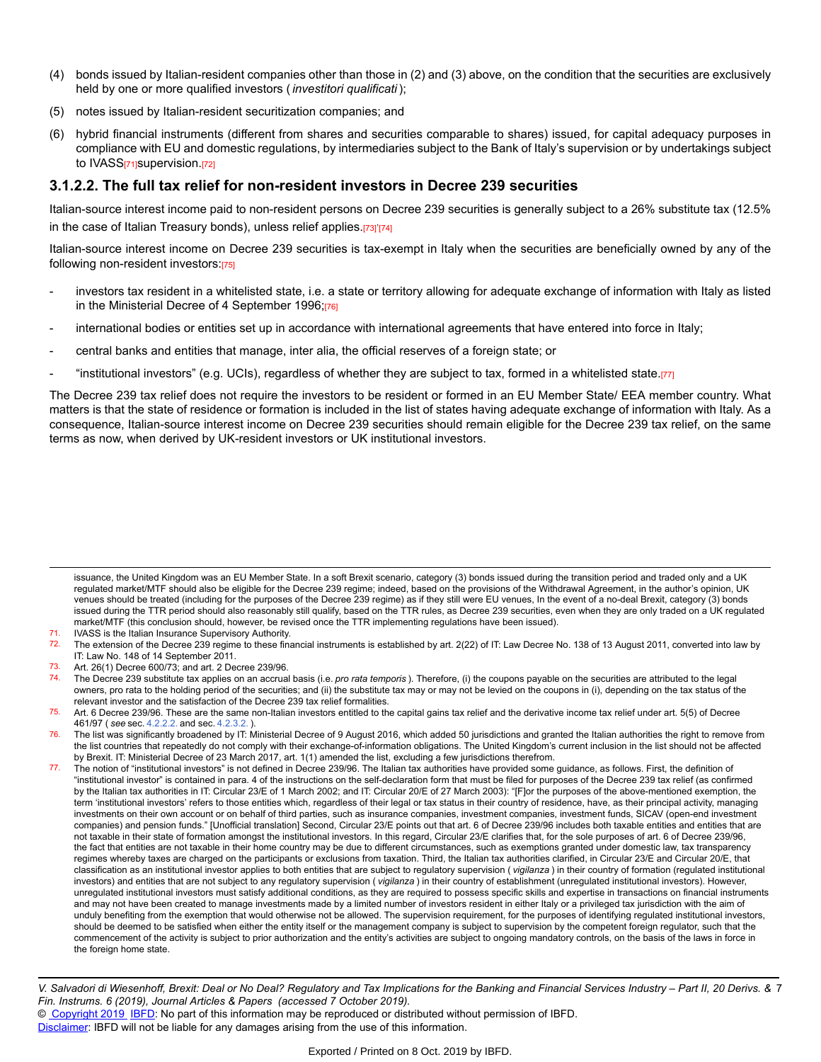- (4) bonds issued by Italian-resident companies other than those in (2) and (3) above, on the condition that the securities are exclusively held by one or more qualified investors ( *investitori qualificati* );
- (5) notes issued by Italian-resident securitization companies; and
- (6) hybrid financial instruments (different from shares and securities comparable to shares) issued, for capital adequacy purposes in compliance with EU and domestic regulations, by intermediaries subject to the Bank of Italy's supervision or by undertakings subject to IVASS<sub>[71]</sub>supervision.[72]

#### **3.1.2.2. The full tax relief for non-resident investors in Decree 239 securities**

Italian-source interest income paid to non-resident persons on Decree 239 securities is generally subject to a 26% substitute tax (12.5% in the case of Italian Treasury bonds), unless relief applies.[73]'[74]

Italian-source interest income on Decree 239 securities is tax-exempt in Italy when the securities are beneficially owned by any of the following non-resident investors:[75]

- investors tax resident in a whitelisted state, i.e. a state or territory allowing for adequate exchange of information with Italy as listed in the Ministerial Decree of 4 September 1996;[76]
- international bodies or entities set up in accordance with international agreements that have entered into force in Italy;
- central banks and entities that manage, inter alia, the official reserves of a foreign state; or
- "institutional investors" (e.g. UCIs), regardless of whether they are subject to tax, formed in a whitelisted state.[77]

The Decree 239 tax relief does not require the investors to be resident or formed in an EU Member State/ EEA member country. What matters is that the state of residence or formation is included in the list of states having adequate exchange of information with Italy. As a consequence, Italian-source interest income on Decree 239 securities should remain eligible for the Decree 239 tax relief, on the same terms as now, when derived by UK-resident investors or UK institutional investors.

issuance, the United Kingdom was an EU Member State. In a soft Brexit scenario, category (3) bonds issued during the transition period and traded only and a UK regulated market/MTF should also be eligible for the Decree 239 regime; indeed, based on the provisions of the Withdrawal Agreement, in the author's opinion, UK venues should be treated (including for the purposes of the Decree 239 regime) as if they still were EU venues, In the event of a no-deal Brexit, category (3) bonds issued during the TTR period should also reasonably still qualify, based on the TTR rules, as Decree 239 securities, even when they are only traded on a UK regulated market/MTF (this conclusion should, however, be revised once the TTR implementing regulations have been issued).

<sup>71.</sup> IVASS is the Italian Insurance Supervisory Authority.<br>72. The extension of the Decree 239 regime to these final

The extension of the Decree 239 regime to these financial instruments is established by art. 2(22) of IT: Law Decree No. 138 of 13 August 2011, converted into law by IT: Law No. 148 of 14 September 2011.

<sup>73.</sup> Art. 26(1) Decree 600/73; and art. 2 Decree 239/96.

<sup>74.</sup> The Decree 239 substitute tax applies on an accrual basis (i.e. *pro rata temporis* ). Therefore, (i) the coupons payable on the securities are attributed to the legal owners, pro rata to the holding period of the securities; and (ii) the substitute tax may or may not be levied on the coupons in (i), depending on the tax status of the relevant investor and the satisfaction of the Decree 239 tax relief formalities.

<sup>75.</sup> Art. 6 Decree 239/96. These are the same non-Italian investors entitled to the capital gains tax relief and the derivative income tax relief under art. 5(5) of Decree 461/97 ( *see* sec. [4.2.2.2.](https://research.ibfd.org/#/doc?url=/linkresolver/static/dfi_2019_06_it_1_s_4_2_2_2#dfi_2019_06_it_1_s_4_2_2_2) and sec. [4.2.3.2.](https://research.ibfd.org/#/doc?url=/linkresolver/static/dfi_2019_06_it_1_s_4_2_3_2#dfi_2019_06_it_1_s_4_2_3_2) ).

<sup>76.</sup> The list was significantly broadened by IT: Ministerial Decree of 9 August 2016, which added 50 jurisdictions and granted the Italian authorities the right to remove from the list countries that repeatedly do not comply with their exchange-of-information obligations. The United Kingdom's current inclusion in the list should not be affected by Brexit. IT: Ministerial Decree of 23 March 2017, art. 1(1) amended the list, excluding a few jurisdictions therefrom.

<sup>77.</sup> The notion of "institutional investors" is not defined in Decree 239/96. The Italian tax authorities have provided some guidance, as follows. First, the definition of "institutional investor" is contained in para. 4 of the instructions on the self-declaration form that must be filed for purposes of the Decree 239 tax relief (as confirmed by the Italian tax authorities in IT: Circular 23/E of 1 March 2002; and IT: Circular 20/E of 27 March 2003): "[F]or the purposes of the above-mentioned exemption, the term 'institutional investors' refers to those entities which, regardless of their legal or tax status in their country of residence, have, as their principal activity, managing investments on their own account or on behalf of third parties, such as insurance companies, investment companies, investment funds, SICAV (open-end investment companies) and pension funds." [Unofficial translation] Second, Circular 23/E points out that art. 6 of Decree 239/96 includes both taxable entities and entities that are not taxable in their state of formation amongst the institutional investors. In this regard, Circular 23/E clarifies that, for the sole purposes of art. 6 of Decree 239/96, the fact that entities are not taxable in their home country may be due to different circumstances, such as exemptions granted under domestic law, tax transparency regimes whereby taxes are charged on the participants or exclusions from taxation. Third, the Italian tax authorities clarified, in Circular 23/E and Circular 20/E, that classification as an institutional investor applies to both entities that are subject to regulatory supervision ( *vigilanza* ) in their country of formation (regulated institutional investors) and entities that are not subject to any regulatory supervision ( *vigilanza* ) in their country of establishment (unregulated institutional investors). However, unregulated institutional investors must satisfy additional conditions, as they are required to possess specific skills and expertise in transactions on financial instruments and may not have been created to manage investments made by a limited number of investors resident in either Italy or a privileged tax jurisdiction with the aim of unduly benefiting from the exemption that would otherwise not be allowed. The supervision requirement, for the purposes of identifying regulated institutional investors, should be deemed to be satisfied when either the entity itself or the management company is subject to supervision by the competent foreign regulator, such that the commencement of the activity is subject to prior authorization and the entity's activities are subject to ongoing mandatory controls, on the basis of the laws in force in the foreign home state.

V. Salvadori di Wiesenhoff, Brexit: Deal or No Deal? Regulatory and Tax Implications for the Banking and Financial Services Industry – Part II, 20 Derivs. & 7 *Fin. Instrums. 6 (2019), Journal Articles & Papers (accessed 7 October 2019).*

<sup>©</sup> [Copyright 2019](http://www.ibfd.org/Copyright-IBFD) [IBFD:](http://www.ibfd.org) No part of this information may be reproduced or distributed without permission of IBFD.

[Disclaimer:](http://www.ibfd.org/Disclaimer) IBFD will not be liable for any damages arising from the use of this information.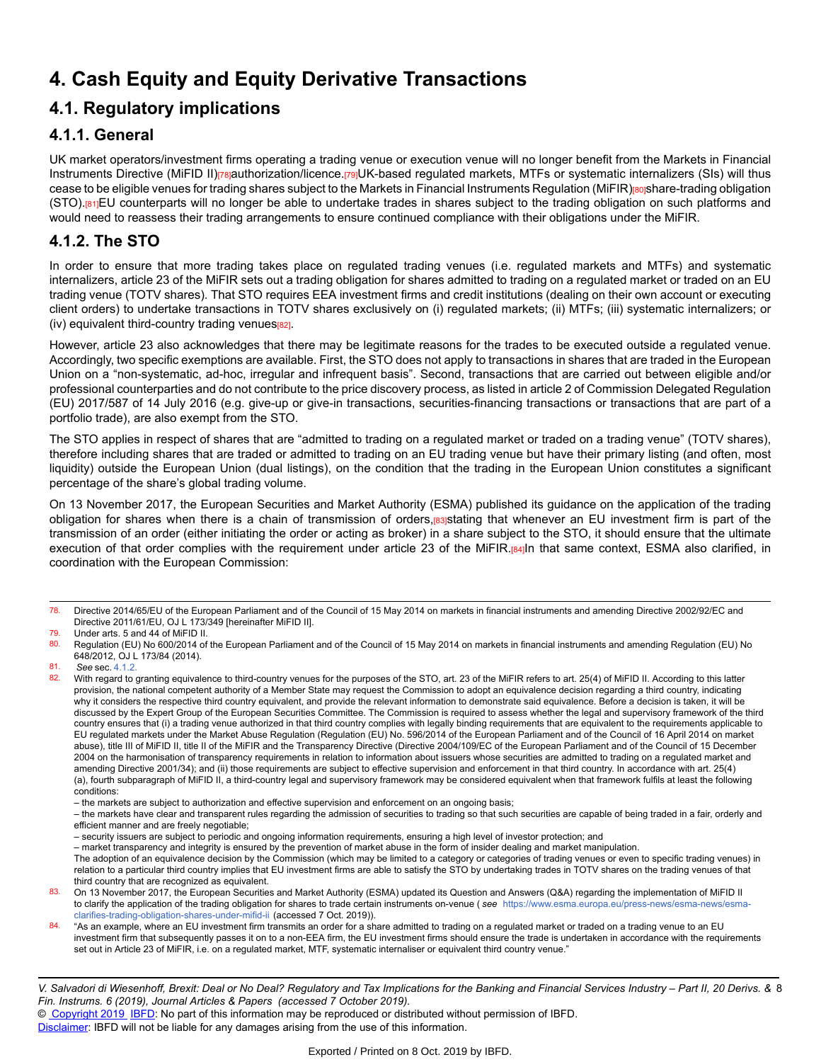# **4. Cash Equity and Equity Derivative Transactions**

# **4.1. Regulatory implications**

## **4.1.1. General**

UK market operators/investment firms operating a trading venue or execution venue will no longer benefit from the Markets in Financial Instruments Directive (MIFID II)<sub>[78]</sub>authorization/licence.[79]UK-based regulated markets, MTFs or systematic internalizers (SIs) will thus cease to be eligible venues for trading shares subject to the Markets in Financial Instruments Regulation (MiFIR)[80]share-trading obligation (STO).[81]EU counterparts will no longer be able to undertake trades in shares subject to the trading obligation on such platforms and would need to reassess their trading arrangements to ensure continued compliance with their obligations under the MiFIR.

# **4.1.2. The STO**

In order to ensure that more trading takes place on regulated trading venues (i.e. regulated markets and MTFs) and systematic internalizers, article 23 of the MiFIR sets out a trading obligation for shares admitted to trading on a regulated market or traded on an EU trading venue (TOTV shares). That STO requires EEA investment firms and credit institutions (dealing on their own account or executing client orders) to undertake transactions in TOTV shares exclusively on (i) regulated markets; (ii) MTFs; (iii) systematic internalizers; or (iv) equivalent third-country trading venues[82].

However, article 23 also acknowledges that there may be legitimate reasons for the trades to be executed outside a regulated venue. Accordingly, two specific exemptions are available. First, the STO does not apply to transactions in shares that are traded in the European Union on a "non-systematic, ad-hoc, irregular and infrequent basis". Second, transactions that are carried out between eligible and/or professional counterparties and do not contribute to the price discovery process, as listed in article 2 of Commission Delegated Regulation (EU) 2017/587 of 14 July 2016 (e.g. give-up or give-in transactions, securities-financing transactions or transactions that are part of a portfolio trade), are also exempt from the STO.

The STO applies in respect of shares that are "admitted to trading on a regulated market or traded on a trading venue" (TOTV shares), therefore including shares that are traded or admitted to trading on an EU trading venue but have their primary listing (and often, most liquidity) outside the European Union (dual listings), on the condition that the trading in the European Union constitutes a significant percentage of the share's global trading volume.

On 13 November 2017, the European Securities and Market Authority (ESMA) published its guidance on the application of the trading obligation for shares when there is a chain of transmission of orders,[83]stating that whenever an EU investment firm is part of the transmission of an order (either initiating the order or acting as broker) in a share subject to the STO, it should ensure that the ultimate execution of that order complies with the requirement under article 23 of the MiFIR.[84]In that same context, ESMA also clarified, in coordination with the European Commission:

– market transparency and integrity is ensured by the prevention of market abuse in the form of insider dealing and market manipulation.

<sup>78.</sup> Directive 2014/65/EU of the European Parliament and of the Council of 15 May 2014 on markets in financial instruments and amending Directive 2002/92/EC and Directive 2011/61/EU, OJ L 173/349 [hereinafter MiFID II].

 $\frac{79.}{80.}$  Under arts. 5 and 44 of MiFID II.

Regulation (EU) No 600/2014 of the European Parliament and of the Council of 15 May 2014 on markets in financial instruments and amending Regulation (EU) No 648/2012, OJ L 173/84 (2014).

<sup>81.</sup> *See* sec. [4.1.2.](https://research.ibfd.org/#/doc?url=/linkresolver/static/dfi_2019_06_it_1_s_4_1_2#dfi_2019_06_it_1_s_4_1_2)

With regard to granting equivalence to third-country venues for the purposes of the STO, art. 23 of the MiFIR refers to art. 25(4) of MiFID II. According to this latter provision, the national competent authority of a Member State may request the Commission to adopt an equivalence decision regarding a third country, indicating why it considers the respective third country equivalent, and provide the relevant information to demonstrate said equivalence. Before a decision is taken, it will be discussed by the Expert Group of the European Securities Committee. The Commission is required to assess whether the legal and supervisory framework of the third country ensures that (i) a trading venue authorized in that third country complies with legally binding requirements that are equivalent to the requirements applicable to EU regulated markets under the Market Abuse Regulation (Regulation (EU) No. 596/2014 of the European Parliament and of the Council of 16 April 2014 on market abuse), title III of MiFID II, title II of the MiFIR and the Transparency Directive (Directive 2004/109/EC of the European Parliament and of the Council of 15 December 2004 on the harmonisation of transparency requirements in relation to information about issuers whose securities are admitted to trading on a regulated market and amending Directive 2001/34); and (ii) those requirements are subject to effective supervision and enforcement in that third country. In accordance with art. 25(4) (a), fourth subparagraph of MiFID II, a third-country legal and supervisory framework may be considered equivalent when that framework fulfils at least the following conditions:

<sup>–</sup> the markets are subject to authorization and effective supervision and enforcement on an ongoing basis;

<sup>–</sup> the markets have clear and transparent rules regarding the admission of securities to trading so that such securities are capable of being traded in a fair, orderly and efficient manner and are freely negotiable;

<sup>–</sup> security issuers are subject to periodic and ongoing information requirements, ensuring a high level of investor protection; and

The adoption of an equivalence decision by the Commission (which may be limited to a category or categories of trading venues or even to specific trading venues) in relation to a particular third country implies that EU investment firms are able to satisfy the STO by undertaking trades in TOTV shares on the trading venues of that third country that are recognized as equivalent.

<sup>83.</sup> On 13 November 2017, the European Securities and Market Authority (ESMA) updated its Question and Answers (Q&A) regarding the implementation of MiFID II to clarify the application of the trading obligation for shares to trade certain instruments on-venue ( *see* [https://www.esma.europa.eu/press-news/esma-news/esma](https://www.esma.europa.eu/press-news/esma-news/esma-clarifies-trading-obligation-shares-under-mifid-ii)[clarifies-trading-obligation-shares-under-mifid-ii](https://www.esma.europa.eu/press-news/esma-news/esma-clarifies-trading-obligation-shares-under-mifid-ii) (accessed 7 Oct. 2019)).

<sup>84. &</sup>quot;As an example, where an EU investment firm transmits an order for a share admitted to trading on a regulated market or traded on a trading venue to an EU investment firm that subsequently passes it on to a non-EEA firm, the EU investment firms should ensure the trade is undertaken in accordance with the requirements set out in Article 23 of MiFIR, i.e. on a regulated market, MTF, systematic internaliser or equivalent third country venue."

V. Salvadori di Wiesenhoff, Brexit: Deal or No Deal? Regulatory and Tax Implications for the Banking and Financial Services Industry – Part II, 20 Derivs. & 8 *Fin. Instrums. 6 (2019), Journal Articles & Papers (accessed 7 October 2019).*

<sup>©</sup> [Copyright 2019](http://www.ibfd.org/Copyright-IBFD) [IBFD:](http://www.ibfd.org) No part of this information may be reproduced or distributed without permission of IBFD.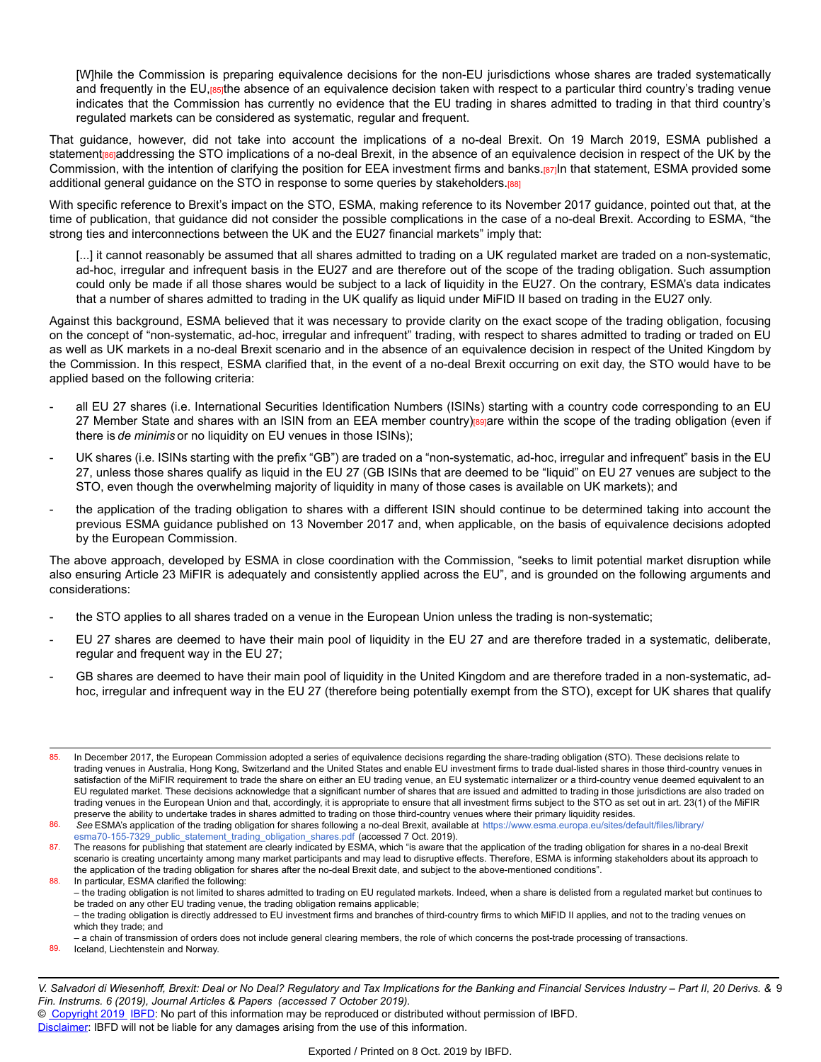[W]hile the Commission is preparing equivalence decisions for the non-EU jurisdictions whose shares are traded systematically and frequently in the EU,[85]the absence of an equivalence decision taken with respect to a particular third country's trading venue indicates that the Commission has currently no evidence that the EU trading in shares admitted to trading in that third country's regulated markets can be considered as systematic, regular and frequent.

That guidance, however, did not take into account the implications of a no-deal Brexit. On 19 March 2019, ESMA published a statement<sub>[86]</sub>addressing the STO implications of a no-deal Brexit, in the absence of an equivalence decision in respect of the UK by the Commission, with the intention of clarifying the position for EEA investment firms and banks.[87]In that statement, ESMA provided some additional general guidance on the STO in response to some queries by stakeholders.[88]

With specific reference to Brexit's impact on the STO, ESMA, making reference to its November 2017 guidance, pointed out that, at the time of publication, that guidance did not consider the possible complications in the case of a no-deal Brexit. According to ESMA, "the strong ties and interconnections between the UK and the EU27 financial markets" imply that:

[...] it cannot reasonably be assumed that all shares admitted to trading on a UK regulated market are traded on a non-systematic, ad-hoc, irregular and infrequent basis in the EU27 and are therefore out of the scope of the trading obligation. Such assumption could only be made if all those shares would be subject to a lack of liquidity in the EU27. On the contrary, ESMA's data indicates that a number of shares admitted to trading in the UK qualify as liquid under MiFID II based on trading in the EU27 only.

Against this background, ESMA believed that it was necessary to provide clarity on the exact scope of the trading obligation, focusing on the concept of "non-systematic, ad-hoc, irregular and infrequent" trading, with respect to shares admitted to trading or traded on EU as well as UK markets in a no-deal Brexit scenario and in the absence of an equivalence decision in respect of the United Kingdom by the Commission. In this respect, ESMA clarified that, in the event of a no-deal Brexit occurring on exit day, the STO would have to be applied based on the following criteria:

- all EU 27 shares (i.e. International Securities Identification Numbers (ISINs) starting with a country code corresponding to an EU 27 Member State and shares with an ISIN from an EEA member country) evaluate within the scope of the trading obligation (even if there is *de minimis* or no liquidity on EU venues in those ISINs);
- UK shares (i.e. ISINs starting with the prefix "GB") are traded on a "non-systematic, ad-hoc, irregular and infrequent" basis in the EU 27, unless those shares qualify as liquid in the EU 27 (GB ISINs that are deemed to be "liquid" on EU 27 venues are subject to the STO, even though the overwhelming majority of liquidity in many of those cases is available on UK markets); and
- the application of the trading obligation to shares with a different ISIN should continue to be determined taking into account the previous ESMA guidance published on 13 November 2017 and, when applicable, on the basis of equivalence decisions adopted by the European Commission.

The above approach, developed by ESMA in close coordination with the Commission, "seeks to limit potential market disruption while also ensuring Article 23 MiFIR is adequately and consistently applied across the EU", and is grounded on the following arguments and considerations:

- the STO applies to all shares traded on a venue in the European Union unless the trading is non-systematic;
- EU 27 shares are deemed to have their main pool of liquidity in the EU 27 and are therefore traded in a systematic, deliberate, regular and frequent way in the EU 27;
- GB shares are deemed to have their main pool of liquidity in the United Kingdom and are therefore traded in a non-systematic, adhoc, irregular and infrequent way in the EU 27 (therefore being potentially exempt from the STO), except for UK shares that qualify

<sup>85.</sup> In December 2017, the European Commission adopted a series of equivalence decisions regarding the share-trading obligation (STO). These decisions relate to trading venues in Australia, Hong Kong, Switzerland and the United States and enable EU investment firms to trade dual-listed shares in those third-country venues in satisfaction of the MiFIR requirement to trade the share on either an EU trading venue, an EU systematic internalizer or a third-country venue deemed equivalent to an EU regulated market. These decisions acknowledge that a significant number of shares that are issued and admitted to trading in those jurisdictions are also traded on trading venues in the European Union and that, accordingly, it is appropriate to ensure that all investment firms subject to the STO as set out in art. 23(1) of the MiFIR preserve the ability to undertake trades in shares admitted to trading on those third-country venues where their primary liquidity resides.

<sup>86.</sup> *See* ESMA's application of the trading obligation for shares following a no-deal Brexit, available at [https://www.esma.europa.eu/sites/default/files/library](https://www.esma.europa.eu/sites/default/files/library/esma70-155-7329_public_statement_trading_obligation_shares.pdf)/ [esma70-155-7329\\_public\\_statement\\_trading\\_obligation\\_shares.pdf](https://www.esma.europa.eu/sites/default/files/library/esma70-155-7329_public_statement_trading_obligation_shares.pdf) (accessed 7 Oct. 2019).

<sup>87.</sup> The reasons for publishing that statement are clearly indicated by ESMA, which "is aware that the application of the trading obligation for shares in a no-deal Brexit scenario is creating uncertainty among many market participants and may lead to disruptive effects. Therefore, ESMA is informing stakeholders about its approach to the application of the trading obligation for shares after the no-deal Brexit date, and subject to the above-mentioned conditions". 88. In particular, ESMA clarified the following:

<sup>–</sup> the trading obligation is not limited to shares admitted to trading on EU regulated markets. Indeed, when a share is delisted from a regulated market but continues to be traded on any other EU trading venue, the trading obligation remains applicable; – the trading obligation is directly addressed to EU investment firms and branches of third-country firms to which MiFID II applies, and not to the trading venues on which they trade; and

<sup>–</sup> a chain of transmission of orders does not include general clearing members, the role of which concerns the post-trade processing of transactions.

Iceland, Liechtenstein and Norway.

V. Salvadori di Wiesenhoff, Brexit: Deal or No Deal? Regulatory and Tax Implications for the Banking and Financial Services Industry – Part II, 20 Derivs. & 9 *Fin. Instrums. 6 (2019), Journal Articles & Papers (accessed 7 October 2019).*

<sup>©</sup> [Copyright 2019](http://www.ibfd.org/Copyright-IBFD) [IBFD:](http://www.ibfd.org) No part of this information may be reproduced or distributed without permission of IBFD.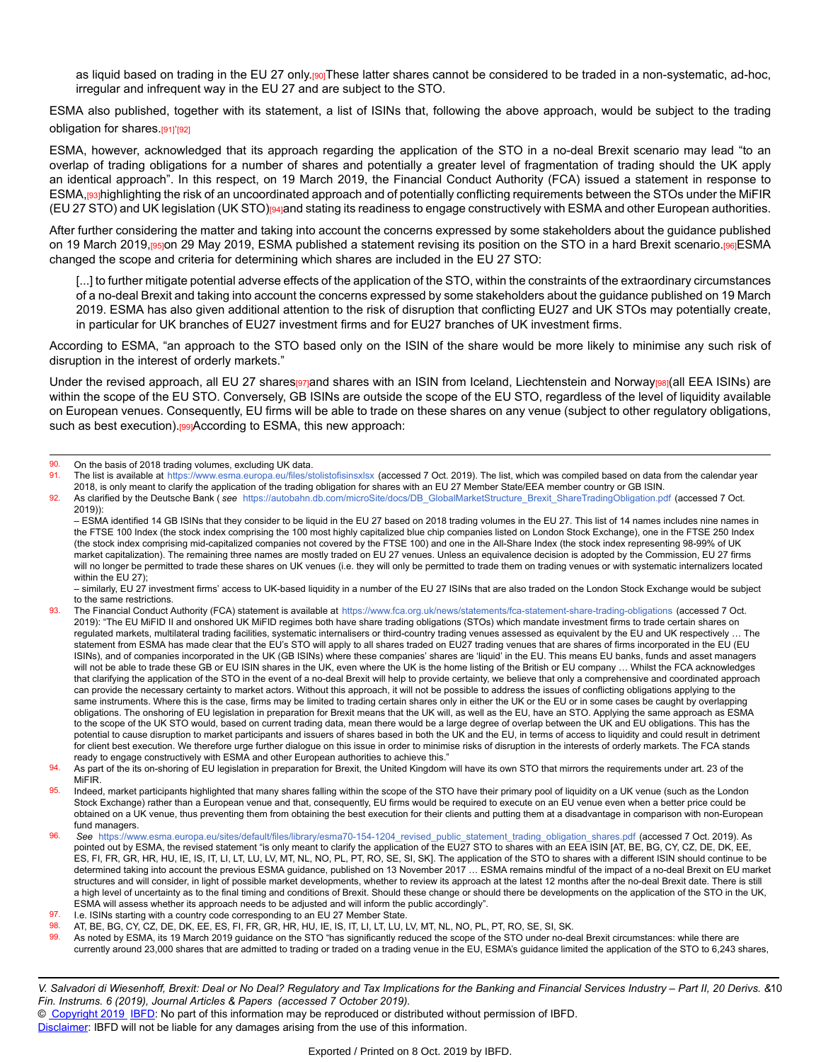as liquid based on trading in the EU 27 only.<sup>[90]</sup>These latter shares cannot be considered to be traded in a non-systematic, ad-hoc, irregular and infrequent way in the EU 27 and are subject to the STO.

ESMA also published, together with its statement, a list of ISINs that, following the above approach, would be subject to the trading obligation for shares.<sub>[91]</sub>'<sub>[92]</sub>

ESMA, however, acknowledged that its approach regarding the application of the STO in a no-deal Brexit scenario may lead "to an overlap of trading obligations for a number of shares and potentially a greater level of fragmentation of trading should the UK apply an identical approach". In this respect, on 19 March 2019, the Financial Conduct Authority (FCA) issued a statement in response to ESMA,[93]highlighting the risk of an uncoordinated approach and of potentially conflicting requirements between the STOs under the MiFIR (EU 27 STO) and UK legislation (UK STO)[94]and stating its readiness to engage constructively with ESMA and other European authorities.

After further considering the matter and taking into account the concerns expressed by some stakeholders about the guidance published on 19 March 2019,[95]on 29 May 2019, ESMA published a statement revising its position on the STO in a hard Brexit scenario.[96]ESMA changed the scope and criteria for determining which shares are included in the EU 27 STO:

[...] to further mitigate potential adverse effects of the application of the STO, within the constraints of the extraordinary circumstances of a no-deal Brexit and taking into account the concerns expressed by some stakeholders about the guidance published on 19 March 2019. ESMA has also given additional attention to the risk of disruption that conflicting EU27 and UK STOs may potentially create, in particular for UK branches of EU27 investment firms and for EU27 branches of UK investment firms.

According to ESMA, "an approach to the STO based only on the ISIN of the share would be more likely to minimise any such risk of disruption in the interest of orderly markets."

Under the revised approach, all EU 27 shares priand shares with an ISIN from Iceland, Liechtenstein and Norway[98](all EEA ISINs) are within the scope of the EU STO. Conversely, GB ISINs are outside the scope of the EU STO, regardless of the level of liquidity available on European venues. Consequently, EU firms will be able to trade on these shares on any venue (subject to other regulatory obligations, such as best execution).<sup>[99]</sup>According to ESMA, this new approach:

- The list is available at <https://www.esma.europa.eu/files/stolistofisinsxlsx> (accessed 7 Oct. 2019). The list, which was compiled based on data from the calendar year 2018, is only meant to clarify the application of the trading obligation for shares with an EU 27 Member State/EEA member country or GB ISIN.
- 92. As clarified by the Deutsche Bank ( *see* [https://autobahn.db.com/microSite/docs/DB\\_GlobalMarketStructure\\_Brexit\\_ShareTradingObligation.pd](https://autobahn.db.com/microSite/docs/DB_GlobalMarketStructure_Brexit_ShareTradingObligation.pdf)f (accessed 7 Oct. 2019)):

<sup>90.</sup> On the basis of 2018 trading volumes, excluding UK data.<br>91. The list is available at https://www.esma.europa.eu/files/st

<sup>–</sup> ESMA identified 14 GB ISINs that they consider to be liquid in the EU 27 based on 2018 trading volumes in the EU 27. This list of 14 names includes nine names in the FTSE 100 Index (the stock index comprising the 100 most highly capitalized blue chip companies listed on London Stock Exchange), one in the FTSE 250 Index (the stock index comprising mid-capitalized companies not covered by the FTSE 100) and one in the All-Share Index (the stock index representing 98-99% of UK market capitalization). The remaining three names are mostly traded on EU 27 venues. Unless an equivalence decision is adopted by the Commission, EU 27 firms will no longer be permitted to trade these shares on UK venues (i.e. they will only be permitted to trade them on trading venues or with systematic internalizers located within the EU 27);

<sup>–</sup> similarly, EU 27 investment firms' access to UK-based liquidity in a number of the EU 27 ISINs that are also traded on the London Stock Exchange would be subject to the same restrictions.

<sup>93.</sup> The Financial Conduct Authority (FCA) statement is available at <https://www.fca.org.uk/news/statements/fca-statement-share-trading-obligations> (accessed 7 Oct. 2019): "The EU MiFID II and onshored UK MiFID regimes both have share trading obligations (STOs) which mandate investment firms to trade certain shares on regulated markets, multilateral trading facilities, systematic internalisers or third-country trading venues assessed as equivalent by the EU and UK respectively … The statement from ESMA has made clear that the EU's STO will apply to all shares traded on EU27 trading venues that are shares of firms incorporated in the EU (EU ISINs), and of companies incorporated in the UK (GB ISINs) where these companies' shares are 'liquid' in the EU. This means EU banks, funds and asset managers will not be able to trade these GB or EU ISIN shares in the UK, even where the UK is the home listing of the British or EU company ... Whilst the FCA acknowledges that clarifying the application of the STO in the event of a no-deal Brexit will help to provide certainty, we believe that only a comprehensive and coordinated approach can provide the necessary certainty to market actors. Without this approach, it will not be possible to address the issues of conflicting obligations applying to the same instruments. Where this is the case, firms may be limited to trading certain shares only in either the UK or the EU or in some cases be caught by overlapping obligations. The onshoring of EU legislation in preparation for Brexit means that the UK will, as well as the EU, have an STO. Applying the same approach as ESMA to the scope of the UK STO would, based on current trading data, mean there would be a large degree of overlap between the UK and EU obligations. This has the potential to cause disruption to market participants and issuers of shares based in both the UK and the EU, in terms of access to liquidity and could result in detriment for client best execution. We therefore urge further dialogue on this issue in order to minimise risks of disruption in the interests of orderly markets. The FCA stands ready to engage constructively with ESMA and other European authorities to achieve this."

<sup>94.</sup> As part of the its on-shoring of EU legislation in preparation for Brexit, the United Kingdom will have its own STO that mirrors the requirements under art. 23 of the MiFIR.

<sup>95.</sup> Indeed, market participants highlighted that many shares falling within the scope of the STO have their primary pool of liquidity on a UK venue (such as the London Stock Exchange) rather than a European venue and that, consequently, EU firms would be required to execute on an EU venue even when a better price could be obtained on a UK venue, thus preventing them from obtaining the best execution for their clients and putting them at a disadvantage in comparison with non-European fund managers.

<sup>96.</sup> *See* [https://www.esma.europa.eu/sites/default/files/library/esma70-154-1204\\_revised\\_public\\_statement\\_trading\\_obligation\\_shares.pd](https://www.esma.europa.eu/sites/default/files/library/esma70-154-1204_revised_public_statement_trading_obligation_shares.pdf)f (accessed 7 Oct. 2019). As pointed out by ESMA, the revised statement "is only meant to clarify the application of the EU27 STO to shares with an EEA ISIN [AT, BE, BG, CY, CZ, DE, DK, EE, ES, FI, FR, GR, HR, HU, IE, IS, IT, LI, LT, LU, LV, MT, NL, NO, PL, PT, RO, SE, SI, SK]. The application of the STO to shares with a different ISIN should continue to be determined taking into account the previous ESMA guidance, published on 13 November 2017 … ESMA remains mindful of the impact of a no-deal Brexit on EU market structures and will consider, in light of possible market developments, whether to review its approach at the latest 12 months after the no-deal Brexit date. There is still a high level of uncertainty as to the final timing and conditions of Brexit. Should these change or should there be developments on the application of the STO in the UK, ESMA will assess whether its approach needs to be adjusted and will inform the public accordingly".

<sup>97.</sup> I.e. ISINs starting with a country code corresponding to an EU 27 Member State.<br>98. AT BE BG CY CZ DE DK FE ES EL ER GR HR HU JE IS IT LLIT LLLI

<sup>98.</sup> AT, BE, BG, CY, CZ, DE, DK, EE, ES, FI, FR, GR, HR, HU, IE, IS, IT, LI, LT, LU, LV, MT, NL, NO, PL, PT, RO, SE, SI, SK.

<sup>99.</sup> As noted by ESMA, its 19 March 2019 guidance on the STO "has significantly reduced the scope of the STO under no-deal Brexit circumstances: while there are currently around 23,000 shares that are admitted to trading or traded on a trading venue in the EU, ESMA's guidance limited the application of the STO to 6,243 shares,

V. Salvadori di Wiesenhoff, Brexit: Deal or No Deal? Regulatory and Tax Implications for the Banking and Financial Services Industry – Part II, 20 Derivs. &10 *Fin. Instrums. 6 (2019), Journal Articles & Papers (accessed 7 October 2019).*

<sup>©</sup> [Copyright 2019](http://www.ibfd.org/Copyright-IBFD) [IBFD:](http://www.ibfd.org) No part of this information may be reproduced or distributed without permission of IBFD.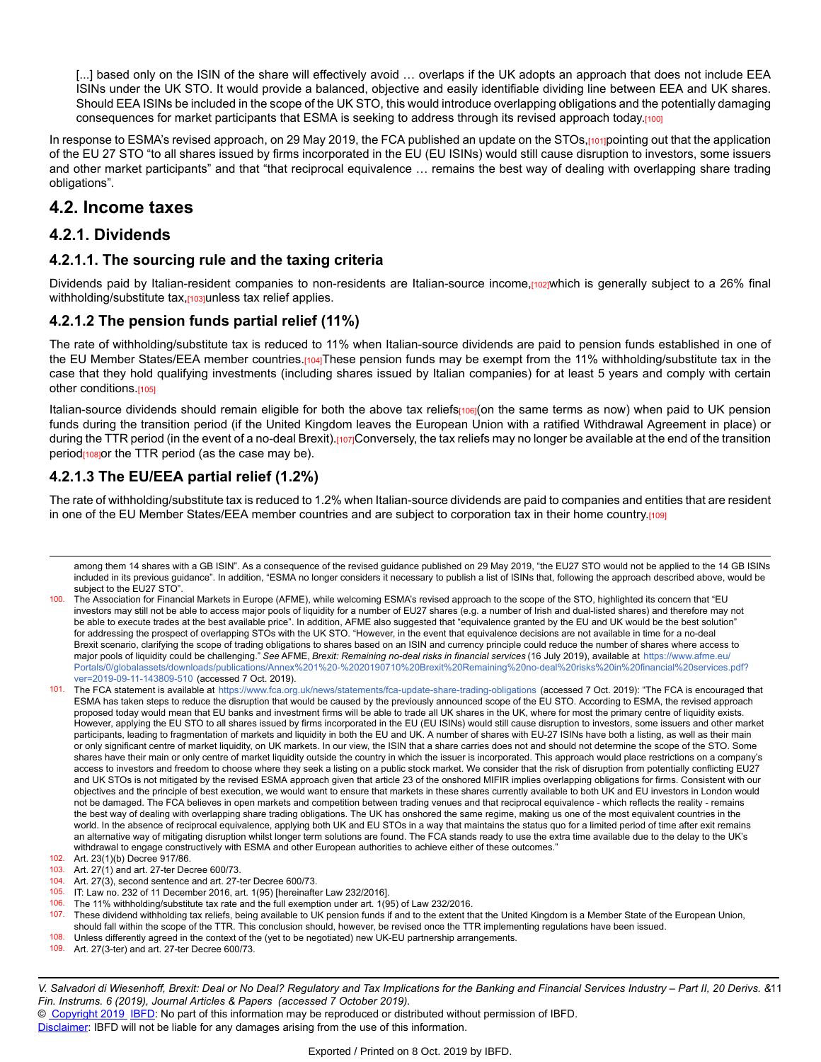[...] based only on the ISIN of the share will effectively avoid ... overlaps if the UK adopts an approach that does not include EEA ISINs under the UK STO. It would provide a balanced, objective and easily identifiable dividing line between EEA and UK shares. Should EEA ISINs be included in the scope of the UK STO, this would introduce overlapping obligations and the potentially damaging consequences for market participants that ESMA is seeking to address through its revised approach today.[100]

In response to ESMA's revised approach, on 29 May 2019, the FCA published an update on the STOs,[101]pointing out that the application of the EU 27 STO "to all shares issued by firms incorporated in the EU (EU ISINs) would still cause disruption to investors, some issuers and other market participants" and that "that reciprocal equivalence … remains the best way of dealing with overlapping share trading obligations".

# **4.2. Income taxes**

#### **4.2.1. Dividends**

#### **4.2.1.1. The sourcing rule and the taxing criteria**

Dividends paid by Italian-resident companies to non-residents are Italian-source income,[102]which is generally subject to a 26% final withholding/substitute tax,<sup>[103]</sup>unless tax relief applies.

#### **4.2.1.2 The pension funds partial relief (11%)**

The rate of withholding/substitute tax is reduced to 11% when Italian-source dividends are paid to pension funds established in one of the EU Member States/EEA member countries.[104]These pension funds may be exempt from the 11% withholding/substitute tax in the case that they hold qualifying investments (including shares issued by Italian companies) for at least 5 years and comply with certain other conditions.[105]

Italian-source dividends should remain eligible for both the above tax reliefs<sub>[106]</sub>(on the same terms as now) when paid to UK pension funds during the transition period (if the United Kingdom leaves the European Union with a ratified Withdrawal Agreement in place) or during the TTR period (in the event of a no-deal Brexit).[107]Conversely, the tax reliefs may no longer be available at the end of the transition period $_{108}$  por the TTR period (as the case may be).

#### **4.2.1.3 The EU/EEA partial relief (1.2%)**

The rate of withholding/substitute tax is reduced to 1.2% when Italian-source dividends are paid to companies and entities that are resident in one of the EU Member States/EEA member countries and are subject to corporation tax in their home country.[109]

101. The FCA statement is available at <https://www.fca.org.uk/news/statements/fca-update-share-trading-obligations> (accessed 7 Oct. 2019): "The FCA is encouraged that ESMA has taken steps to reduce the disruption that would be caused by the previously announced scope of the EU STO. According to ESMA, the revised approach proposed today would mean that EU banks and investment firms will be able to trade all UK shares in the UK, where for most the primary centre of liquidity exists. However, applying the EU STO to all shares issued by firms incorporated in the EU (EU ISINs) would still cause disruption to investors, some issuers and other market participants, leading to fragmentation of markets and liquidity in both the EU and UK. A number of shares with EU-27 ISINs have both a listing, as well as their main or only significant centre of market liquidity, on UK markets. In our view, the ISIN that a share carries does not and should not determine the scope of the STO. Some shares have their main or only centre of market liquidity outside the country in which the issuer is incorporated. This approach would place restrictions on a company's access to investors and freedom to choose where they seek a listing on a public stock market. We consider that the risk of disruption from potentially conflicting EU27 and UK STOs is not mitigated by the revised ESMA approach given that article 23 of the onshored MIFIR implies overlapping obligations for firms. Consistent with our objectives and the principle of best execution, we would want to ensure that markets in these shares currently available to both UK and EU investors in London would not be damaged. The FCA believes in open markets and competition between trading venues and that reciprocal equivalence - which reflects the reality - remains the best way of dealing with overlapping share trading obligations. The UK has onshored the same regime, making us one of the most equivalent countries in the world. In the absence of reciprocal equivalence, applying both UK and EU STOs in a way that maintains the status quo for a limited period of time after exit remains an alternative way of mitigating disruption whilst longer term solutions are found. The FCA stands ready to use the extra time available due to the delay to the UK's withdrawal to engage constructively with ESMA and other European authorities to achieve either of these outcomes."

among them 14 shares with a GB ISIN". As a consequence of the revised guidance published on 29 May 2019, "the EU27 STO would not be applied to the 14 GB ISINs included in its previous guidance". In addition, "ESMA no longer considers it necessary to publish a list of ISINs that, following the approach described above, would be subject to the EU27 STO".

<sup>100.</sup> The Association for Financial Markets in Europe (AFME), while welcoming ESMA's revised approach to the scope of the STO, highlighted its concern that "EU investors may still not be able to access major pools of liquidity for a number of EU27 shares (e.g. a number of Irish and dual-listed shares) and therefore may not be able to execute trades at the best available price". In addition, AFME also suggested that "equivalence granted by the EU and UK would be the best solution" for addressing the prospect of overlapping STOs with the UK STO. "However, in the event that equivalence decisions are not available in time for a no-deal Brexit scenario, clarifying the scope of trading obligations to shares based on an ISIN and currency principle could reduce the number of shares where access to major pools of liquidity could be challenging." *See* AFME, *Brexit: Remaining no-deal risks in financial services* (16 July 2019), available at [https://www.afme.eu](https://www.afme.eu/Portals/0/globalassets/downloads/publications/Annex%201%20-%2020190710%20Brexit%20Remaining%20no-deal%20risks%20in%20financial%20services.pdf?ver=2019-09-11-143809-510)/ [Portals/0/globalassets/downloads/publications/Annex%201%20-%2020190710%20Brexit%20Remaining%20no-deal%20risks%20in%20financial%20services.pdf?](https://www.afme.eu/Portals/0/globalassets/downloads/publications/Annex%201%20-%2020190710%20Brexit%20Remaining%20no-deal%20risks%20in%20financial%20services.pdf?ver=2019-09-11-143809-510) [ver=2019-09-11-143809-510](https://www.afme.eu/Portals/0/globalassets/downloads/publications/Annex%201%20-%2020190710%20Brexit%20Remaining%20no-deal%20risks%20in%20financial%20services.pdf?ver=2019-09-11-143809-510) (accessed 7 Oct. 2019).

<sup>102.</sup> Art. 23(1)(b) Decree 917/86.<br>103. Art. 27(1) and art. 27-ter Dec

Art. 27(1) and art. 27-ter Decree 600/73. 104. Art. 27(3), second sentence and art. 27-ter Decree 600/73.

<sup>105.</sup> IT: Law no. 232 of 11 December 2016, art. 1(95) [hereinafter Law 232/2016]. 106. The 11% withholding/substitute tax rate and the full exemption under art. 1(95) of Law 232/2016.

<sup>107.</sup> These dividend withholding tax reliefs, being available to UK pension funds if and to the extent that the United Kingdom is a Member State of the European Union, should fall within the scope of the TTR. This conclusion should, however, be revised once the TTR implementing regulations have been issued.

<sup>108.</sup> Unless differently agreed in the context of the (yet to be negotiated) new UK-EU partnership arrangements.<br>109. Art 27(3-ter) and art 27-ter Decree 600/73

Art. 27(3-ter) and art. 27-ter Decree 600/73.

V. Salvadori di Wiesenhoff, Brexit: Deal or No Deal? Regulatory and Tax Implications for the Banking and Financial Services Industry – Part II, 20 Derivs. &11 *Fin. Instrums. 6 (2019), Journal Articles & Papers (accessed 7 October 2019).*

<sup>©</sup> [Copyright 2019](http://www.ibfd.org/Copyright-IBFD) [IBFD:](http://www.ibfd.org) No part of this information may be reproduced or distributed without permission of IBFD.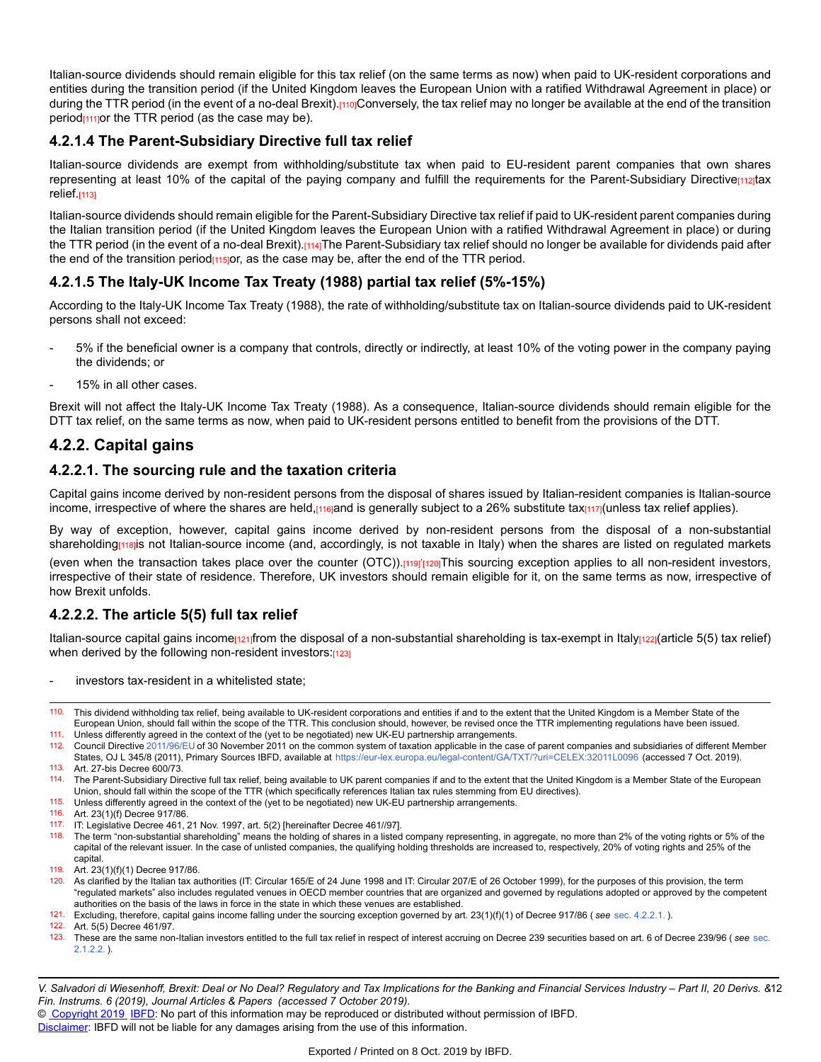Italian-source dividends should remain eligible for this tax relief (on the same terms as now) when paid to UK-resident corporations and entities during the transition period (if the United Kingdom leaves the European Union with a ratified Withdrawal Agreement in place) or during the TTR period (in the event of a no-deal Brexit).[110]Conversely, the tax relief may no longer be available at the end of the transition period<sub>[111]</sub>or the TTR period (as the case may be).

#### **4.2.1.4 The Parent-Subsidiary Directive full tax relief**

Italian-source dividends are exempt from withholding/substitute tax when paid to EU-resident parent companies that own shares representing at least 10% of the capital of the paying company and fulfill the requirements for the Parent-Subsidiary Directive<sub>[112]</sub>tax relief.[113]

Italian-source dividends should remain eligible for the Parent-Subsidiary Directive tax relief if paid to UK-resident parent companies during the Italian transition period (if the United Kingdom leaves the European Union with a ratified Withdrawal Agreement in place) or during the TTR period (in the event of a no-deal Brexit).[114]The Parent-Subsidiary tax relief should no longer be available for dividends paid after the end of the transition period<sub>[115]</sub>or, as the case may be, after the end of the TTR period.

#### **4.2.1.5 The Italy-UK Income Tax Treaty (1988) partial tax relief (5%-15%)**

According to the Italy-UK Income Tax Treaty (1988), the rate of withholding/substitute tax on Italian-source dividends paid to UK-resident persons shall not exceed:

- 5% if the beneficial owner is a company that controls, directly or indirectly, at least 10% of the voting power in the company paying the dividends; or
- 15% in all other cases.

Brexit will not affect the Italy-UK Income Tax Treaty (1988). As a consequence, Italian-source dividends should remain eligible for the DTT tax relief, on the same terms as now, when paid to UK-resident persons entitled to benefit from the provisions of the DTT.

#### **4.2.2. Capital gains**

#### **4.2.2.1. The sourcing rule and the taxation criteria**

Capital gains income derived by non-resident persons from the disposal of shares issued by Italian-resident companies is Italian-source income, irrespective of where the shares are held, $\mu$ <sub>10</sub> and is generally subject to a 26% substitute tax $\mu$ <sub>117</sub>(unless tax relief applies).

By way of exception, however, capital gains income derived by non-resident persons from the disposal of a non-substantial shareholding<sub>[118]</sub>is not Italian-source income (and, accordingly, is not taxable in Italy) when the shares are listed on regulated markets

(even when the transaction takes place over the counter (OTC)).[119]'[120]This sourcing exception applies to all non-resident investors, irrespective of their state of residence. Therefore, UK investors should remain eligible for it, on the same terms as now, irrespective of how Brexit unfolds.

#### **4.2.2.2. The article 5(5) full tax relief**

Italian-source capital gains income $\frac{121}{1}$ from the disposal of a non-substantial shareholding is tax-exempt in Italy $\frac{122}{1}$ (article 5(5) tax relief) when derived by the following non-resident investors:[123]

investors tax-resident in a whitelisted state;

111. Unless differently agreed in the context of the (yet to be negotiated) new UK-EU partnership arrangements.

112. Council Directive [2011/96/EU](https://research.ibfd.org/#/doc?url=/linkresolver/static/tt_e2_79_eng_2011_tt#tt_e2_79_eng_2011_tt) of 30 November 2011 on the common system of taxation applicable in the case of parent companies and subsidiaries of different Member States, OJ L 345/8 (2011), Primary Sources IBFD, available at <https://eur-lex.europa.eu/legal-content/GA/TXT/?uri=CELEX:32011L0096> (accessed 7 Oct. 2019). 113. Art. 27-bis Decree 600/73.

114. The Parent-Subsidiary Directive full tax relief, being available to UK parent companies if and to the extent that the United Kingdom is a Member State of the European Union, should fall within the scope of the TTR (which specifically references Italian tax rules stemming from EU directives).

- 115. Unless differently agreed in the context of the (yet to be negotiated) new UK-EU partnership arrangements.
- 116. Art. 23(1)(f) Decree 917/86.
- 117. IT: Legislative Decree 461, 21 Nov. 1997, art. 5(2) [hereinafter Decree 461//97].<br>118. The term "non-substantial shareholding" means the holding of shares in a listed
- 118. The term "non-substantial shareholding" means the holding of shares in a listed company representing, in aggregate, no more than 2% of the voting rights or 5% of the capital of the relevant issuer. In the case of unlisted companies, the qualifying holding thresholds are increased to, respectively, 20% of voting rights and 25% of the capital.
- 119. Art. 23(1)(f)(1) Decree 917/86.
- 120. As clarified by the Italian tax authorities (IT: Circular 165/E of 24 June 1998 and IT: Circular 207/E of 26 October 1999), for the purposes of this provision, the term "regulated markets" also includes regulated venues in OECD member countries that are organized and governed by regulations adopted or approved by the competent authorities on the basis of the laws in force in the state in which these venues are established.
- 121. Excluding, therefore, capital gains income falling under the sourcing exception governed by art. 23(1)(f)(1) of Decree 917/86 ( *see* [sec. 4.2.2.1.](https://research.ibfd.org/#/doc?url=/linkresolver/static/dfi_2019_06_it_1_s_4_2_2_1#dfi_2019_06_it_1_s_4_2_2_1) ).

Art. 5(5) Decree 461/97.

123. These are the same non-Italian investors entitled to the full tax relief in respect of interest accruing on Decree 239 securities based on art. 6 of Decree 239/96 ( *see* [sec.](https://research.ibfd.org/#/doc?url=/linkresolver/static/dfi_2019_06_it_1_s_2_1_2_2#dfi_2019_06_it_1_s_2_1_2_2) [2.1.2.2.](https://research.ibfd.org/#/doc?url=/linkresolver/static/dfi_2019_06_it_1_s_2_1_2_2#dfi_2019_06_it_1_s_2_1_2_2) ).

V. Salvadori di Wiesenhoff, Brexit: Deal or No Deal? Regulatory and Tax Implications for the Banking and Financial Services Industry – Part II, 20 Derivs. &12 *Fin. Instrums. 6 (2019), Journal Articles & Papers (accessed 7 October 2019).*

© [Copyright 2019](http://www.ibfd.org/Copyright-IBFD) [IBFD:](http://www.ibfd.org) No part of this information may be reproduced or distributed without permission of IBFD.

<sup>110.</sup> This dividend withholding tax relief, being available to UK-resident corporations and entities if and to the extent that the United Kingdom is a Member State of the European Union, should fall within the scope of the TTR. This conclusion should, however, be revised once the TTR implementing regulations have been issued.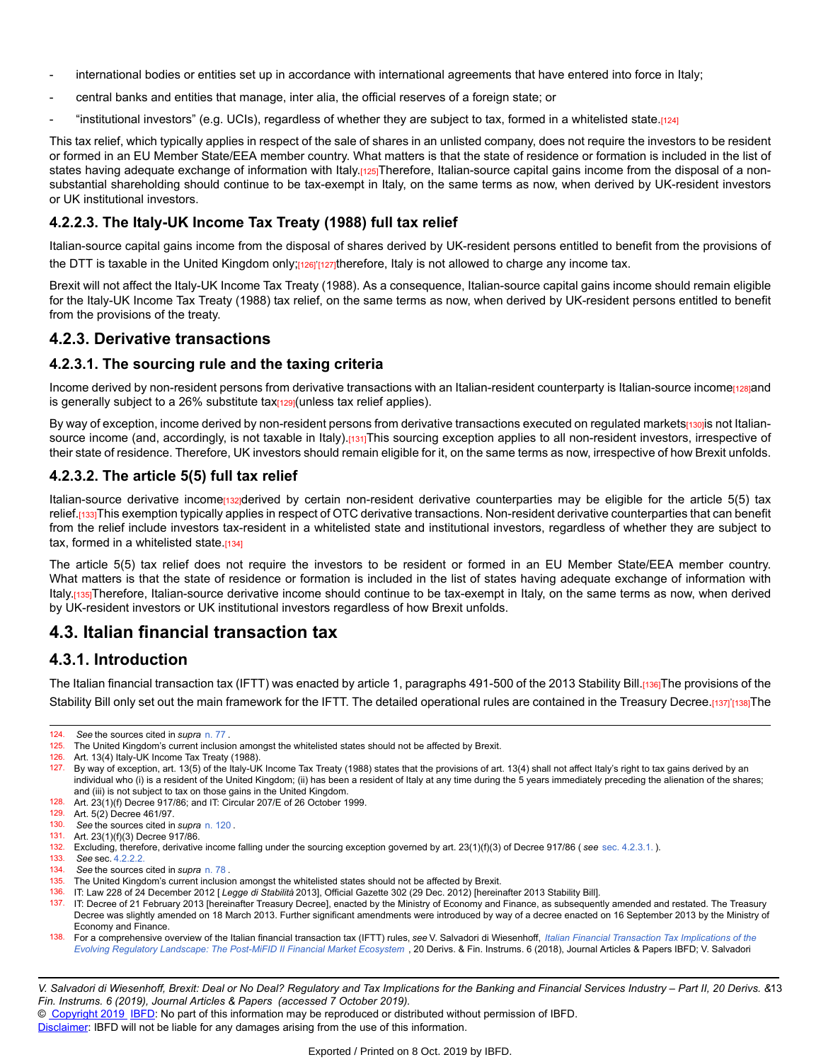- international bodies or entities set up in accordance with international agreements that have entered into force in Italy;
- central banks and entities that manage, inter alia, the official reserves of a foreign state; or
- "institutional investors" (e.g. UCIs), regardless of whether they are subject to tax, formed in a whitelisted state.[124]

This tax relief, which typically applies in respect of the sale of shares in an unlisted company, does not require the investors to be resident or formed in an EU Member State/EEA member country. What matters is that the state of residence or formation is included in the list of states having adequate exchange of information with Italy.[125]Therefore, Italian-source capital gains income from the disposal of a nonsubstantial shareholding should continue to be tax-exempt in Italy, on the same terms as now, when derived by UK-resident investors or UK institutional investors.

#### **4.2.2.3. The Italy-UK Income Tax Treaty (1988) full tax relief**

Italian-source capital gains income from the disposal of shares derived by UK-resident persons entitled to benefit from the provisions of the DTT is taxable in the United Kingdom only;<sub>[126]</sub>'<sub>[127]</sub>therefore, Italy is not allowed to charge any income tax.

Brexit will not affect the Italy-UK Income Tax Treaty (1988). As a consequence, Italian-source capital gains income should remain eligible for the Italy-UK Income Tax Treaty (1988) tax relief, on the same terms as now, when derived by UK-resident persons entitled to benefit from the provisions of the treaty.

#### **4.2.3. Derivative transactions**

#### **4.2.3.1. The sourcing rule and the taxing criteria**

Income derived by non-resident persons from derivative transactions with an Italian-resident counterparty is Italian-source incomenagend is generally subject to a 26% substitute tax $\frac{1}{29}$ (unless tax relief applies).

By way of exception, income derived by non-resident persons from derivative transactions executed on regulated markets $p_3$ ojis not Italiansource income (and, accordingly, is not taxable in Italy).[131]This sourcing exception applies to all non-resident investors, irrespective of their state of residence. Therefore, UK investors should remain eligible for it, on the same terms as now, irrespective of how Brexit unfolds.

#### **4.2.3.2. The article 5(5) full tax relief**

Italian-source derivative income<sub>[132]</sub>derived by certain non-resident derivative counterparties may be eligible for the article 5(5) tax relief.<sub>[133]</sub>This exemption typically applies in respect of OTC derivative transactions. Non-resident derivative counterparties that can benefit from the relief include investors tax-resident in a whitelisted state and institutional investors, regardless of whether they are subject to tax, formed in a whitelisted state [134]

The article 5(5) tax relief does not require the investors to be resident or formed in an EU Member State/EEA member country. What matters is that the state of residence or formation is included in the list of states having adequate exchange of information with Italy.[135]Therefore, Italian-source derivative income should continue to be tax-exempt in Italy, on the same terms as now, when derived by UK-resident investors or UK institutional investors regardless of how Brexit unfolds.

# **4.3. Italian financial transaction tax**

## **4.3.1. Introduction**

The Italian financial transaction tax (IFTT) was enacted by article 1, paragraphs 491-500 of the 2013 Stability Bill.[136]The provisions of the Stability Bill only set out the main framework for the IFTT. The detailed operational rules are contained in the Treasury Decree.[137]'[138]The

128. Art. 23(1)(f) Decree 917/86; and IT: Circular 207/E of 26 October 1999.<br>129. Art. 5(2) Decree 461/97

<sup>124.</sup> *See* the sources cited in *supra* [n. 77](https://research.ibfd.org/#/doc?url=/linkresolver/static/dfi_2019_06_it_1_fn_77#dfi_2019_06_it_1_fn_77) .

<sup>125.</sup> The United Kingdom's current inclusion amongst the whitelisted states should not be affected by Brexit.<br>126. Art. 13(4) Italy-LIK Income Tax Treaty (1988)

Art. 13(4) Italy-UK Income Tax Treaty (1988).

<sup>127.</sup> By way of exception, art. 13(5) of the Italy-UK Income Tax Treaty (1988) states that the provisions of art. 13(4) shall not affect Italy's right to tax gains derived by an individual who (i) is a resident of the United Kingdom; (ii) has been a resident of Italy at any time during the 5 years immediately preceding the alienation of the shares; and (iii) is not subject to tax on those gains in the United Kingdom.

Art. 5(2) Decree 461/97.

<sup>130.</sup> *See* the sources cited in *supra* [n. 120](https://research.ibfd.org/#/doc?url=/linkresolver/static/dfi_2019_06_it_1_fn_120#dfi_2019_06_it_1_fn_120) .

<sup>131.</sup> Art. 23(1)(f)(3) Decree 917/86.

<sup>132.</sup> Excluding, therefore, derivative income falling under the sourcing exception governed by art. 23(1)(f)(3) of Decree 917/86 ( *see* [sec. 4.2.3.1.](https://research.ibfd.org/#/doc?url=/linkresolver/static/dfi_2019_06_it_1_s_4_2_3_1#dfi_2019_06_it_1_s_4_2_3_1) ).

<sup>133.</sup> *See* sec. [4.2.2.2.](https://research.ibfd.org/#/doc?url=/linkresolver/static/dfi_2019_06_it_1_s_4_2_2_2#dfi_2019_06_it_1_s_4_2_2_2)

<sup>134.</sup> *See* the sources cited in *supra* [n. 78](https://research.ibfd.org/#/doc?url=/linkresolver/static/dfi_2019_06_it_1_fn_78#dfi_2019_06_it_1_fn_78) .

<sup>135.</sup> The United Kingdom's current inclusion amongst the whitelisted states should not be affected by Brexit.

<sup>136.</sup> IT: Law 228 of 24 December 2012 [ *Legge di Stabilità* 2013], Official Gazette 302 (29 Dec. 2012) [hereinafter 2013 Stability Bill].

<sup>137.</sup> IT: Decree of 21 February 2013 [hereinafter Treasury Decree], enacted by the Ministry of Economy and Finance, as subsequently amended and restated. The Treasury Decree was slightly amended on 18 March 2013. Further significant amendments were introduced by way of a decree enacted on 16 September 2013 by the Ministry of Economy and Finance.

<sup>138.</sup> For a comprehensive overview of the Italian financial transaction tax (IFTT) rules, see V. Salvadori di Wiesenhoff, Italian Financial Transaction Tax [Implications](https://research.ibfd.org/#/doc?url=/linkresolver/static/dfi_2018_06_it_2#dfi_2018_06_it_2) of the *[Evolving Regulatory Landscape: The Post-MiFID II Financial Market Ecosystem](https://research.ibfd.org/#/doc?url=/linkresolver/static/dfi_2018_06_it_2#dfi_2018_06_it_2)* , 20 Derivs. & Fin. Instrums. 6 (2018), Journal Articles & Papers IBFD; V. Salvadori

V. Salvadori di Wiesenhoff, Brexit: Deal or No Deal? Regulatory and Tax Implications for the Banking and Financial Services Industry – Part II, 20 Derivs. &13 *Fin. Instrums. 6 (2019), Journal Articles & Papers (accessed 7 October 2019).*

<sup>©</sup> [Copyright 2019](http://www.ibfd.org/Copyright-IBFD) [IBFD:](http://www.ibfd.org) No part of this information may be reproduced or distributed without permission of IBFD.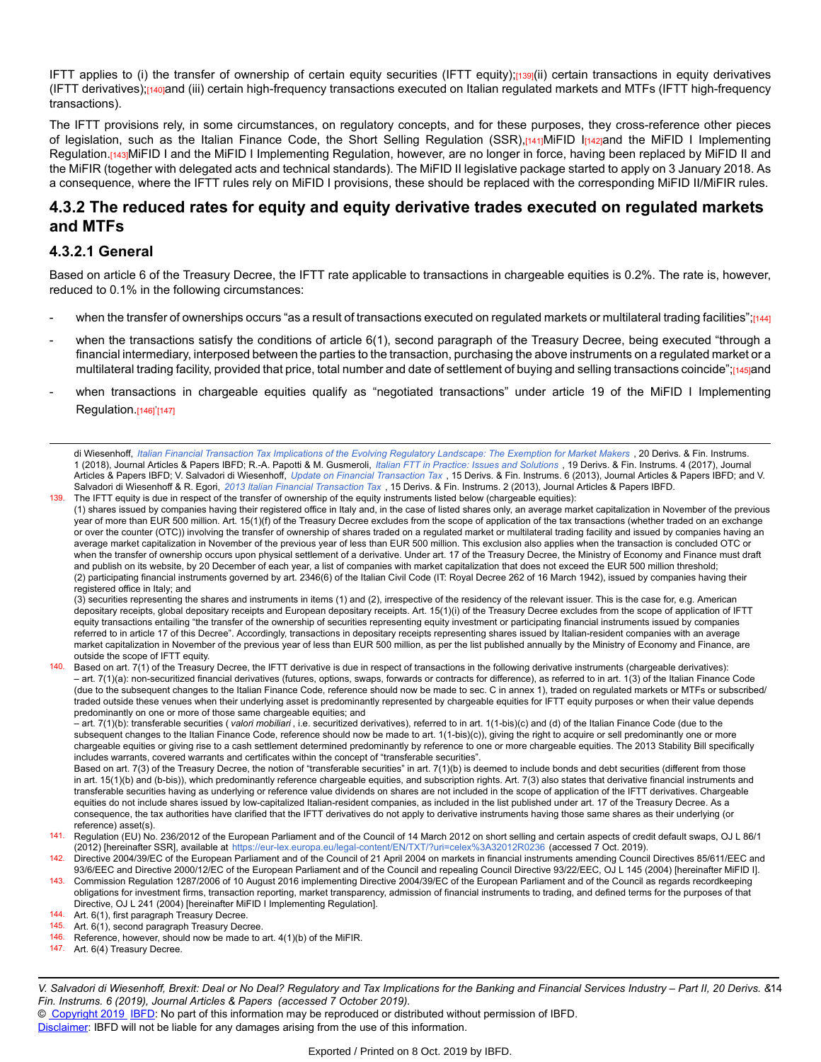IFTT applies to (i) the transfer of ownership of certain equity securities (IFTT equity);[139](ii) certain transactions in equity derivatives (IFTT derivatives);[140]and (iii) certain high-frequency transactions executed on Italian regulated markets and MTFs (IFTT high-frequency transactions).

The IFTT provisions rely, in some circumstances, on regulatory concepts, and for these purposes, they cross-reference other pieces of legislation, such as the Italian Finance Code, the Short Selling Regulation (SSR),[141]MiFID I[142]and the MiFID I Implementing Regulation.[143]MiFID I and the MiFID I Implementing Regulation, however, are no longer in force, having been replaced by MiFID II and the MiFIR (together with delegated acts and technical standards). The MiFID II legislative package started to apply on 3 January 2018. As a consequence, where the IFTT rules rely on MiFID I provisions, these should be replaced with the corresponding MiFID II/MiFIR rules.

#### **4.3.2 The reduced rates for equity and equity derivative trades executed on regulated markets and MTFs**

#### **4.3.2.1 General**

Based on article 6 of the Treasury Decree, the IFTT rate applicable to transactions in chargeable equities is 0.2%. The rate is, however, reduced to 0.1% in the following circumstances:

- when the transfer of ownerships occurs "as a result of transactions executed on regulated markets or multilateral trading facilities";[144]
- when the transactions satisfy the conditions of article 6(1), second paragraph of the Treasury Decree, being executed "through a financial intermediary, interposed between the parties to the transaction, purchasing the above instruments on a regulated market or a multilateral trading facility, provided that price, total number and date of settlement of buying and selling transactions coincide";[145]and
- when transactions in chargeable equities qualify as "negotiated transactions" under article 19 of the MiFID I Implementing Regulation.[146]<sup>'</sup>[147]

di Wiesenhoff, Italian Financial Transaction Tax [Implications](https://research.ibfd.org/#/doc?url=/linkresolver/static/dfi_2018_01_it_1#dfi_2018_01_it_1) of the Evolving Regulatory Landscape: The Exemption for Market Makers , 20 Derivs. & Fin. Instrums. 1 (2018), Journal Articles & Papers IBFD; R.-A. Papotti & M. Gusmeroli, *[Italian FTT in Practice: Issues and Solutions](https://research.ibfd.org/#/doc?url=/linkresolver/static/dfi_2017_04_it_1#dfi_2017_04_it_1)* , 19 Derivs. & Fin. Instrums. 4 (2017), Journal Articles & Papers IBFD; V. Salvadori di Wiesenhoff, *Update on Financial [Transaction](https://research.ibfd.org/#/doc?url=/linkresolver/static/dfi_2013_06_it_1#dfi_2013_06_it_1) Tax* , 15 Derivs. & Fin. Instrums. 6 (2013), Journal Articles & Papers IBFD; and V. Salvadori di Wiesenhoff & R. Egori, *2013 Italian Financial [Transaction](https://research.ibfd.org/#/doc?url=/linkresolver/static/dfi_2013_02_it_1#dfi_2013_02_it_1) Tax* , 15 Derivs. & Fin. Instrums. 2 (2013), Journal Articles & Papers IBFD. 139. The IFTT equity is due in respect of the transfer of ownership of the equity instruments listed below (chargeable equities):

(1) shares issued by companies having their registered office in Italy and, in the case of listed shares only, an average market capitalization in November of the previous year of more than EUR 500 million. Art. 15(1)(f) of the Treasury Decree excludes from the scope of application of the tax transactions (whether traded on an exchange or over the counter (OTC)) involving the transfer of ownership of shares traded on a regulated market or multilateral trading facility and issued by companies having an average market capitalization in November of the previous year of less than EUR 500 million. This exclusion also applies when the transaction is concluded OTC or when the transfer of ownership occurs upon physical settlement of a derivative. Under art. 17 of the Treasury Decree, the Ministry of Economy and Finance must draft and publish on its website, by 20 December of each year, a list of companies with market capitalization that does not exceed the EUR 500 million threshold; (2) participating financial instruments governed by art. 2346(6) of the Italian Civil Code (IT: Royal Decree 262 of 16 March 1942), issued by companies having their registered office in Italy; and

(3) securities representing the shares and instruments in items (1) and (2), irrespective of the residency of the relevant issuer. This is the case for, e.g. American depositary receipts, global depositary receipts and European depositary receipts. Art. 15(1)(i) of the Treasury Decree excludes from the scope of application of IFTT equity transactions entailing "the transfer of the ownership of securities representing equity investment or participating financial instruments issued by companies referred to in article 17 of this Decree". Accordingly, transactions in depositary receipts representing shares issued by Italian-resident companies with an average market capitalization in November of the previous year of less than EUR 500 million, as per the list published annually by the Ministry of Economy and Finance, are outside the scope of IFTT equity.

140. Based on art. 7(1) of the Treasury Decree, the IFTT derivative is due in respect of transactions in the following derivative instruments (chargeable derivatives): – art. 7(1)(a): non-securitized financial derivatives (futures, options, swaps, forwards or contracts for difference), as referred to in art. 1(3) of the Italian Finance Code (due to the subsequent changes to the Italian Finance Code, reference should now be made to sec. C in annex 1), traded on regulated markets or MTFs or subscribed/ traded outside these venues when their underlying asset is predominantly represented by chargeable equities for IFTT equity purposes or when their value depends predominantly on one or more of those same chargeable equities; and

– art. 7(1)(b): transferable securities ( *valori mobiliari* , i.e. securitized derivatives), referred to in art. 1(1-bis)(c) and (d) of the Italian Finance Code (due to the subsequent changes to the Italian Finance Code, reference should now be made to art. 1(1-bis)(c)), giving the right to acquire or sell predominantly one or more chargeable equities or giving rise to a cash settlement determined predominantly by reference to one or more chargeable equities. The 2013 Stability Bill specifically includes warrants, covered warrants and certificates within the concept of "transferable securities".

Based on art. 7(3) of the Treasury Decree, the notion of "transferable securities" in art. 7(1)(b) is deemed to include bonds and debt securities (different from those in art. 15(1)(b) and (b-bis)), which predominantly reference chargeable equities, and subscription rights. Art. 7(3) also states that derivative financial instruments and transferable securities having as underlying or reference value dividends on shares are not included in the scope of application of the IFTT derivatives. Chargeable equities do not include shares issued by low-capitalized Italian-resident companies, as included in the list published under art. 17 of the Treasury Decree. As a consequence, the tax authorities have clarified that the IFTT derivatives do not apply to derivative instruments having those same shares as their underlying (or reference) asset(s).

<sup>141.</sup> Regulation (EU) No. 236/2012 of the European Parliament and of the Council of 14 March 2012 on short selling and certain aspects of credit default swaps, OJ L 86/1 (2012) [hereinafter SSR], available at <https://eur-lex.europa.eu/legal-content/EN/TXT/?uri=celex%3A32012R0236> (accessed 7 Oct. 2019).

<sup>142.</sup> Directive 2004/39/EC of the European Parliament and of the Council of 21 April 2004 on markets in financial instruments amending Council Directives 85/611/EEC and 93/6/EEC and Directive 2000/12/EC of the European Parliament and of the Council and repealing Council Directive 93/22/EEC, OJ L 145 (2004) [hereinafter MiFID I].

<sup>143.</sup> Commission Regulation 1287/2006 of 10 August 2016 implementing Directive 2004/39/EC of the European Parliament and of the Council as regards recordkeeping obligations for investment firms, transaction reporting, market transparency, admission of financial instruments to trading, and defined terms for the purposes of that Directive, OJ L 241 (2004) [hereinafter MiFID I Implementing Regulation].

<sup>144.</sup> Art. 6(1), first paragraph Treasury Decree.<br>145. Art. 6(1), second paragraph Treasury Deci

Art. 6(1), second paragraph Treasury Decree.

<sup>146.</sup> Reference, however, should now be made to art. 4(1)(b) of the MiFIR.

<sup>147.</sup> Art. 6(4) Treasury Decree.

V. Salvadori di Wiesenhoff, Brexit: Deal or No Deal? Regulatory and Tax Implications for the Banking and Financial Services Industry – Part II, 20 Derivs. &14 *Fin. Instrums. 6 (2019), Journal Articles & Papers (accessed 7 October 2019).*

<sup>©</sup> [Copyright 2019](http://www.ibfd.org/Copyright-IBFD) [IBFD:](http://www.ibfd.org) No part of this information may be reproduced or distributed without permission of IBFD.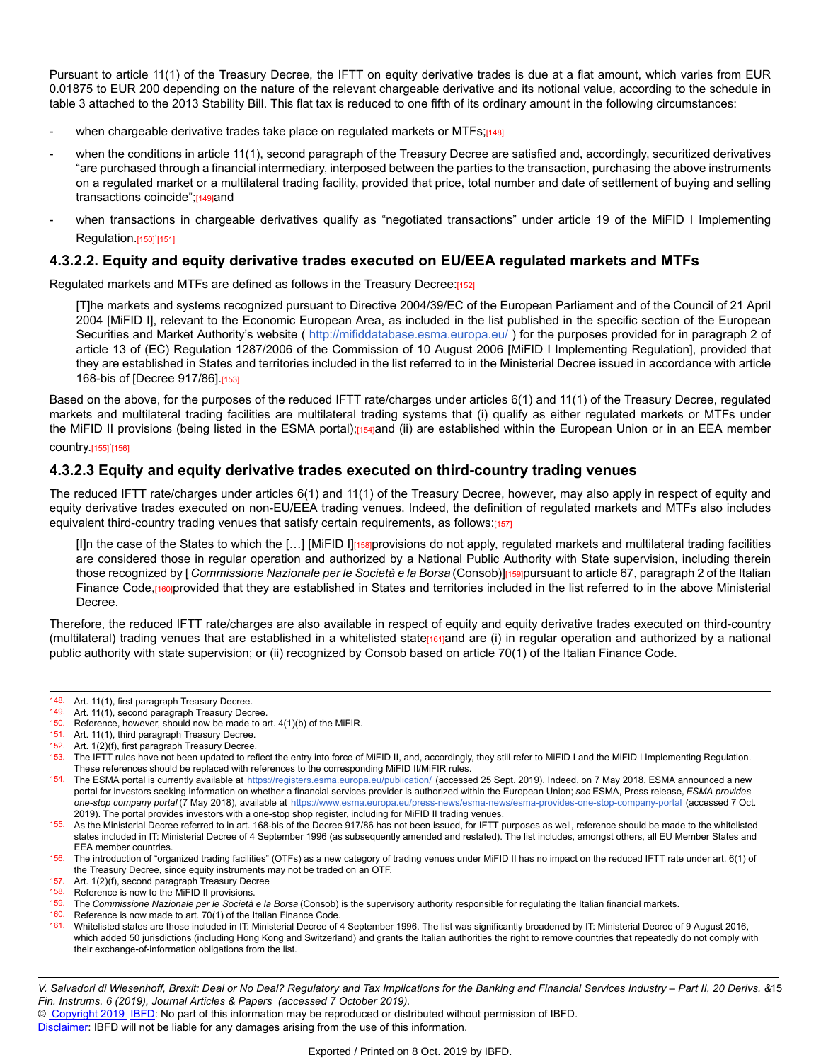Pursuant to article 11(1) of the Treasury Decree, the IFTT on equity derivative trades is due at a flat amount, which varies from EUR 0.01875 to EUR 200 depending on the nature of the relevant chargeable derivative and its notional value, according to the schedule in table 3 attached to the 2013 Stability Bill. This flat tax is reduced to one fifth of its ordinary amount in the following circumstances:

- when chargeable derivative trades take place on regulated markets or MTFs;[148]
- when the conditions in article 11(1), second paragraph of the Treasury Decree are satisfied and, accordingly, securitized derivatives "are purchased through a financial intermediary, interposed between the parties to the transaction, purchasing the above instruments on a regulated market or a multilateral trading facility, provided that price, total number and date of settlement of buying and selling transactions coincide";[149]and
- when transactions in chargeable derivatives qualify as "negotiated transactions" under article 19 of the MiFID I Implementing Regulation.[150]<sup>'</sup>[151]

#### **4.3.2.2. Equity and equity derivative trades executed on EU/EEA regulated markets and MTFs**

Regulated markets and MTFs are defined as follows in the Treasury Decree:[152]

[T]he markets and systems recognized pursuant to Directive 2004/39/EC of the European Parliament and of the Council of 21 April 2004 [MiFID I], relevant to the Economic European Area, as included in the list published in the specific section of the European Securities and Market Authority's website ( [http://mifiddatabase.esma.europa.eu](http://mifiddatabase.esma.europa.eu/)/ ) for the purposes provided for in paragraph 2 of article 13 of (EC) Regulation 1287/2006 of the Commission of 10 August 2006 [MiFID I Implementing Regulation], provided that they are established in States and territories included in the list referred to in the Ministerial Decree issued in accordance with article 168-bis of [Decree 917/86].[153]

Based on the above, for the purposes of the reduced IFTT rate/charges under articles 6(1) and 11(1) of the Treasury Decree, regulated markets and multilateral trading facilities are multilateral trading systems that (i) qualify as either regulated markets or MTFs under the MiFID II provisions (being listed in the ESMA portal);[154]and (ii) are established within the European Union or in an EEA member

#### country.<sub>[155]</sub>'<sub>[156]</sub>

#### **4.3.2.3 Equity and equity derivative trades executed on third-country trading venues**

The reduced IFTT rate/charges under articles 6(1) and 11(1) of the Treasury Decree, however, may also apply in respect of equity and equity derivative trades executed on non-EU/EEA trading venues. Indeed, the definition of regulated markets and MTFs also includes equivalent third-country trading venues that satisfy certain requirements, as follows:[157]

[I]n the case of the States to which the [...] [MiFID I][158]provisions do not apply, regulated markets and multilateral trading facilities are considered those in regular operation and authorized by a National Public Authority with State supervision, including therein those recognized by [ *Commissione Nazionale per le Società e la Borsa* (Consob)][159]pursuant to article 67, paragraph 2 of the Italian Finance Code,[160]provided that they are established in States and territories included in the list referred to in the above Ministerial Decree.

Therefore, the reduced IFTT rate/charges are also available in respect of equity and equity derivative trades executed on third-country (multilateral) trading venues that are established in a whitelisted state<sub>[161]</sub>and are (i) in regular operation and authorized by a national public authority with state supervision; or (ii) recognized by Consob based on article 70(1) of the Italian Finance Code.

149. Art. 11(1), second paragraph Treasury Decree.

151. Art. 11(1), third paragraph Treasury Decree.

<sup>148.</sup> Art. 11(1), first paragraph Treasury Decree.

<sup>150.</sup> Reference, however, should now be made to art. 4(1)(b) of the MiFIR.

<sup>152.</sup> Art.  $1(2)(f)$ , first paragraph Treasury Decree.<br>153. The IFTT rules have not been undated to ref

<sup>153.</sup> The IFTT rules have not been updated to reflect the entry into force of MiFID II, and, accordingly, they still refer to MiFID I and the MiFID I Implementing Regulation. These references should be replaced with references to the corresponding MiFID II/MiFIR rules.

<sup>154.</sup> The ESMA portal is currently available at [https://registers.esma.europa.eu/publication](https://registers.esma.europa.eu/publication/)/ (accessed 25 Sept. 2019). Indeed, on 7 May 2018, ESMA announced a new portal for investors seeking information on whether a financial services provider is authorized within the European Union; *see* ESMA, Press release, *ESMA provides one-stop company portal* (7 May 2018), available at [https://www.esma.europa.eu/press-news/esma-news/esma-provides-one-stop-company-porta](https://www.esma.europa.eu/press-news/esma-news/esma-provides-one-stop-company-portal)l (accessed 7 Oct. 2019). The portal provides investors with a one-stop shop register, including for MiFID II trading venues.

<sup>155.</sup> As the Ministerial Decree referred to in art. 168-bis of the Decree 917/86 has not been issued, for IFTT purposes as well, reference should be made to the whitelisted states included in IT: Ministerial Decree of 4 September 1996 (as subsequently amended and restated). The list includes, amongst others, all EU Member States and EEA member countries.

<sup>156.</sup> The introduction of "organized trading facilities" (OTFs) as a new category of trading venues under MiFID II has no impact on the reduced IFTT rate under art. 6(1) of the Treasury Decree, since equity instruments may not be traded on an OTF.

<sup>157.</sup> Art. 1(2)(f), second paragraph Treasury Decree

<sup>158.</sup> Reference is now to the MiFID II provisions.

<sup>159.</sup> The *Commissione Nazionale per le Società e la Borsa* (Consob) is the supervisory authority responsible for regulating the Italian financial markets.

<sup>160.</sup> Reference is now made to art. 70(1) of the Italian Finance Code.<br>161. Whitelisted states are those included in IT: Ministerial Decree of a

Whitelisted states are those included in IT: Ministerial Decree of 4 September 1996. The list was significantly broadened by IT: Ministerial Decree of 9 August 2016, which added 50 jurisdictions (including Hong Kong and Switzerland) and grants the Italian authorities the right to remove countries that repeatedly do not comply with their exchange-of-information obligations from the list.

V. Salvadori di Wiesenhoff, Brexit: Deal or No Deal? Regulatory and Tax Implications for the Banking and Financial Services Industry – Part II, 20 Derivs. &15 *Fin. Instrums. 6 (2019), Journal Articles & Papers (accessed 7 October 2019).*

<sup>©</sup> [Copyright 2019](http://www.ibfd.org/Copyright-IBFD) [IBFD:](http://www.ibfd.org) No part of this information may be reproduced or distributed without permission of IBFD.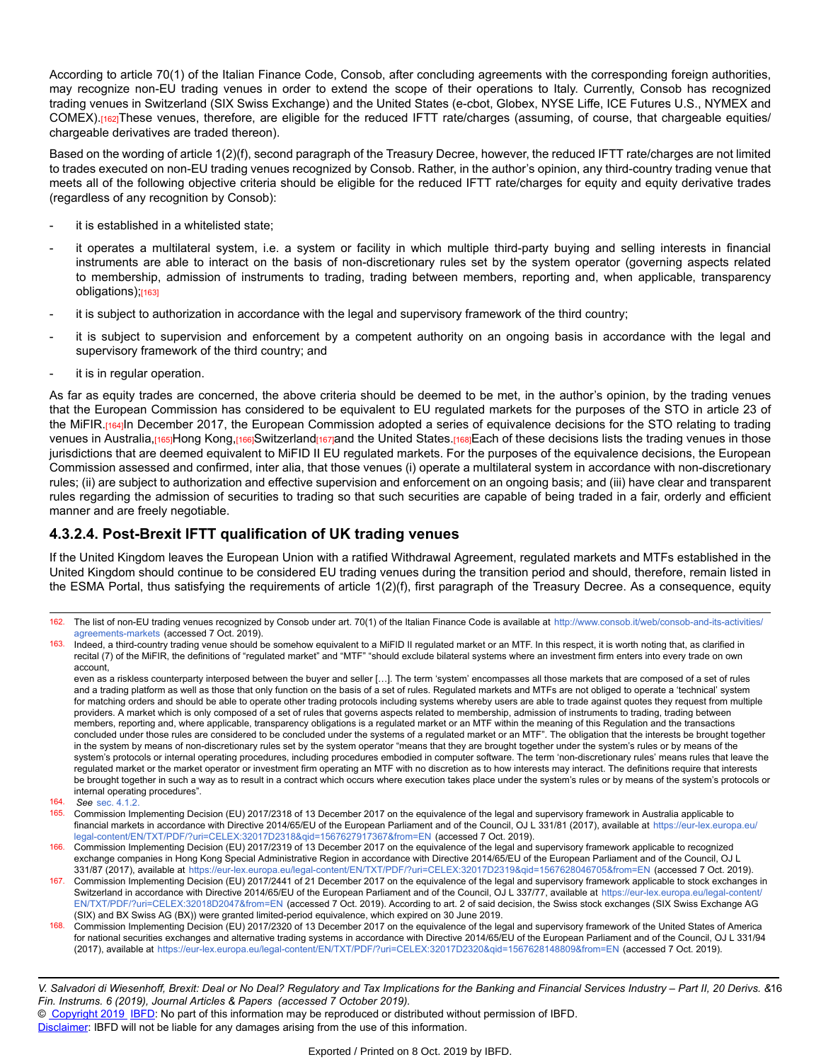According to article 70(1) of the Italian Finance Code, Consob, after concluding agreements with the corresponding foreign authorities, may recognize non-EU trading venues in order to extend the scope of their operations to Italy. Currently, Consob has recognized trading venues in Switzerland (SIX Swiss Exchange) and the United States (e-cbot, Globex, NYSE Liffe, ICE Futures U.S., NYMEX and COMEX).[162]These venues, therefore, are eligible for the reduced IFTT rate/charges (assuming, of course, that chargeable equities/ chargeable derivatives are traded thereon).

Based on the wording of article 1(2)(f), second paragraph of the Treasury Decree, however, the reduced IFTT rate/charges are not limited to trades executed on non-EU trading venues recognized by Consob. Rather, in the author's opinion, any third-country trading venue that meets all of the following objective criteria should be eligible for the reduced IFTT rate/charges for equity and equity derivative trades (regardless of any recognition by Consob):

- it is established in a whitelisted state;
- it operates a multilateral system, i.e. a system or facility in which multiple third-party buying and selling interests in financial instruments are able to interact on the basis of non-discretionary rules set by the system operator (governing aspects related to membership, admission of instruments to trading, trading between members, reporting and, when applicable, transparency obligations);[163]
- it is subject to authorization in accordance with the legal and supervisory framework of the third country;
- it is subject to supervision and enforcement by a competent authority on an ongoing basis in accordance with the legal and supervisory framework of the third country; and
- it is in regular operation.

As far as equity trades are concerned, the above criteria should be deemed to be met, in the author's opinion, by the trading venues that the European Commission has considered to be equivalent to EU regulated markets for the purposes of the STO in article 23 of the MiFIR.<sub>[164]</sub>In December 2017, the European Commission adopted a series of equivalence decisions for the STO relating to trading venues in Australia, 165 Hong Kong, 166 Switzerland te and the United States, 168 Each of these decisions lists the trading venues in those jurisdictions that are deemed equivalent to MiFID II EU regulated markets. For the purposes of the equivalence decisions, the European Commission assessed and confirmed, inter alia, that those venues (i) operate a multilateral system in accordance with non-discretionary rules; (ii) are subject to authorization and effective supervision and enforcement on an ongoing basis; and (iii) have clear and transparent rules regarding the admission of securities to trading so that such securities are capable of being traded in a fair, orderly and efficient manner and are freely negotiable.

#### **4.3.2.4. Post-Brexit IFTT qualification of UK trading venues**

If the United Kingdom leaves the European Union with a ratified Withdrawal Agreement, regulated markets and MTFs established in the United Kingdom should continue to be considered EU trading venues during the transition period and should, therefore, remain listed in the ESMA Portal, thus satisfying the requirements of article 1(2)(f), first paragraph of the Treasury Decree. As a consequence, equity

- 166. Commission Implementing Decision (EU) 2017/2319 of 13 December 2017 on the equivalence of the legal and supervisory framework applicable to recognized exchange companies in Hong Kong Special Administrative Region in accordance with Directive 2014/65/EU of the European Parliament and of the Council, OJ L 331/87 (2017), available at <https://eur-lex.europa.eu/legal-content/EN/TXT/PDF/?uri=CELEX:32017D2319&qid=1567628046705&from=EN> (accessed 7 Oct. 2019).
- 167. Commission Implementing Decision (EU) 2017/2441 of 21 December 2017 on the equivalence of the legal and supervisory framework applicable to stock exchanges in Switzerland in accordance with Directive 2014/65/EU of the European Parliament and of the Council, OJ L 337/77, available at [https://eur-lex.europa.eu/legal-content](https://eur-lex.europa.eu/legal-content/EN/TXT/PDF/?uri=CELEX:32018D2047&from=EN)/ [EN/TXT/PDF/?uri=CELEX:32018D2047&from=EN](https://eur-lex.europa.eu/legal-content/EN/TXT/PDF/?uri=CELEX:32018D2047&from=EN) (accessed 7 Oct. 2019). According to art. 2 of said decision, the Swiss stock exchanges (SIX Swiss Exchange AG (SIX) and BX Swiss AG (BX)) were granted limited-period equivalence, which expired on 30 June 2019.
- 168. Commission Implementing Decision (EU) 2017/2320 of 13 December 2017 on the equivalence of the legal and supervisory framework of the United States of America for national securities exchanges and alternative trading systems in accordance with Directive 2014/65/EU of the European Parliament and of the Council, OJ L 331/94 (2017), available at <https://eur-lex.europa.eu/legal-content/EN/TXT/PDF/?uri=CELEX:32017D2320&qid=1567628148809&from=EN> (accessed 7 Oct. 2019).

V. Salvadori di Wiesenhoff, Brexit: Deal or No Deal? Regulatory and Tax Implications for the Banking and Financial Services Industry – Part II, 20 Derivs. &16 *Fin. Instrums. 6 (2019), Journal Articles & Papers (accessed 7 October 2019).*

© [Copyright 2019](http://www.ibfd.org/Copyright-IBFD) [IBFD:](http://www.ibfd.org) No part of this information may be reproduced or distributed without permission of IBFD.

<sup>162.</sup> The list of non-EU trading venues recognized by Consob under art. 70(1) of the Italian Finance Code is available at [http://www.consob.it/web/consob-and-its-activities](http://www.consob.it/web/consob-and-its-activities/agreements-markets)/ [agreements-markets](http://www.consob.it/web/consob-and-its-activities/agreements-markets) (accessed 7 Oct. 2019).

<sup>163.</sup> Indeed, a third-country trading venue should be somehow equivalent to a MiFID II regulated market or an MTF. In this respect, it is worth noting that, as clarified in recital (7) of the MiFIR, the definitions of "regulated market" and "MTF" "should exclude bilateral systems where an investment firm enters into every trade on own account,

even as a riskless counterparty interposed between the buyer and seller […]. The term 'system' encompasses all those markets that are composed of a set of rules and a trading platform as well as those that only function on the basis of a set of rules. Regulated markets and MTFs are not obliged to operate a 'technical' system for matching orders and should be able to operate other trading protocols including systems whereby users are able to trade against quotes they request from multiple providers. A market which is only composed of a set of rules that governs aspects related to membership, admission of instruments to trading, trading between members, reporting and, where applicable, transparency obligations is a regulated market or an MTF within the meaning of this Regulation and the transactions concluded under those rules are considered to be concluded under the systems of a regulated market or an MTF". The obligation that the interests be brought together in the system by means of non-discretionary rules set by the system operator "means that they are brought together under the system's rules or by means of the system's protocols or internal operating procedures, including procedures embodied in computer software. The term 'non-discretionary rules' means rules that leave the regulated market or the market operator or investment firm operating an MTF with no discretion as to how interests may interact. The definitions require that interests be brought together in such a way as to result in a contract which occurs where execution takes place under the system's rules or by means of the system's protocols or internal operating procedures".

<sup>164.</sup> *See* [sec. 4.1.2.](https://research.ibfd.org/#/doc?url=/linkresolver/static/dfi_2019_06_it_1_s_4_1_2#dfi_2019_06_it_1_s_4_1_2)

<sup>165.</sup> Commission Implementing Decision (EU) 2017/2318 of 13 December 2017 on the equivalence of the legal and supervisory framework in Australia applicable to financial markets in accordance with Directive 2014/65/EU of the European Parliament and of the Council, OJ L 331/81 (2017), available at [https://eur-lex.europa.eu](https://eur-lex.europa.eu/legal-content/EN/TXT/PDF/?uri=CELEX:32017D2318&qid=1567627917367&from=EN)/ [legal-content/EN/TXT/PDF/?uri=CELEX:32017D2318&qid=1567627917367&from=EN](https://eur-lex.europa.eu/legal-content/EN/TXT/PDF/?uri=CELEX:32017D2318&qid=1567627917367&from=EN) (accessed 7 Oct. 2019).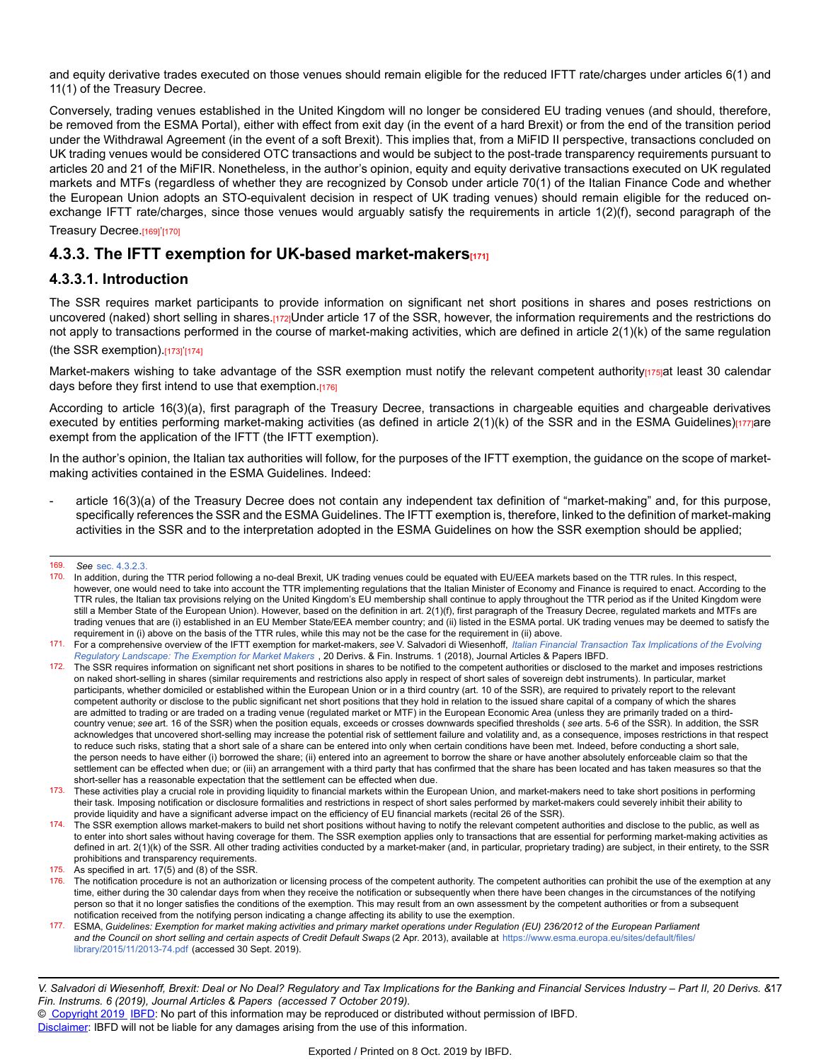and equity derivative trades executed on those venues should remain eligible for the reduced IFTT rate/charges under articles 6(1) and 11(1) of the Treasury Decree.

Conversely, trading venues established in the United Kingdom will no longer be considered EU trading venues (and should, therefore, be removed from the ESMA Portal), either with effect from exit day (in the event of a hard Brexit) or from the end of the transition period under the Withdrawal Agreement (in the event of a soft Brexit). This implies that, from a MiFID II perspective, transactions concluded on UK trading venues would be considered OTC transactions and would be subject to the post-trade transparency requirements pursuant to articles 20 and 21 of the MiFIR. Nonetheless, in the author's opinion, equity and equity derivative transactions executed on UK regulated markets and MTFs (regardless of whether they are recognized by Consob under article 70(1) of the Italian Finance Code and whether the European Union adopts an STO-equivalent decision in respect of UK trading venues) should remain eligible for the reduced onexchange IFTT rate/charges, since those venues would arguably satisfy the requirements in article 1(2)(f), second paragraph of the

Treasury Decree.[169]'[170]

## **4.3.3. The IFTT exemption for UK-based market-makers[171]**

#### **4.3.3.1. Introduction**

The SSR requires market participants to provide information on significant net short positions in shares and poses restrictions on uncovered (naked) short selling in shares.[172]Under article 17 of the SSR, however, the information requirements and the restrictions do not apply to transactions performed in the course of market-making activities, which are defined in article 2(1)(k) of the same regulation (the SSR exemption).[173]'[174]

Market-makers wishing to take advantage of the SSR exemption must notify the relevant competent authority<sub>[175]</sub>at least 30 calendar days before they first intend to use that exemption.[176]

According to article 16(3)(a), first paragraph of the Treasury Decree, transactions in chargeable equities and chargeable derivatives executed by entities performing market-making activities (as defined in article  $2(1)(k)$  of the SSR and in the ESMA Guidelines) $[177]$ are exempt from the application of the IFTT (the IFTT exemption).

In the author's opinion, the Italian tax authorities will follow, for the purposes of the IFTT exemption, the guidance on the scope of marketmaking activities contained in the ESMA Guidelines. Indeed:

article 16(3)(a) of the Treasury Decree does not contain any independent tax definition of "market-making" and, for this purpose, specifically references the SSR and the ESMA Guidelines. The IFTT exemption is, therefore, linked to the definition of market-making activities in the SSR and to the interpretation adopted in the ESMA Guidelines on how the SSR exemption should be applied;

<sup>169.</sup> *See* [sec. 4.3.2.3.](https://research.ibfd.org/#/doc?url=/linkresolver/static/dfi_2019_06_it_1_s_4_3_2_3#dfi_2019_06_it_1_s_4_3_2_3)

<sup>170.</sup> In addition, during the TTR period following a no-deal Brexit, UK trading venues could be equated with EU/EEA markets based on the TTR rules. In this respect, however, one would need to take into account the TTR implementing regulations that the Italian Minister of Economy and Finance is required to enact. According to the TTR rules, the Italian tax provisions relying on the United Kingdom's EU membership shall continue to apply throughout the TTR period as if the United Kingdom were still a Member State of the European Union). However, based on the definition in art. 2(1)(f), first paragraph of the Treasury Decree, regulated markets and MTFs are trading venues that are (i) established in an EU Member State/EEA member country; and (ii) listed in the ESMA portal. UK trading venues may be deemed to satisfy the requirement in (i) above on the basis of the TTR rules, while this may not be the case for the requirement in (ii) above.

<sup>171.</sup> For a comprehensive overview of the IFTT exemption for market-makers, see V. Salvadori di Wiesenhoff, Italian Financial Transaction Tax [Implications](https://research.ibfd.org/#/doc?url=/linkresolver/static/dfi_2018_01_it_1#dfi_2018_01_it_1) of the Evolving *[Regulatory Landscape: The Exemption for Market Makers](https://research.ibfd.org/#/doc?url=/linkresolver/static/dfi_2018_01_it_1#dfi_2018_01_it_1)* , 20 Derivs. & Fin. Instrums. 1 (2018), Journal Articles & Papers IBFD.

<sup>172.</sup> The SSR requires information on significant net short positions in shares to be notified to the competent authorities or disclosed to the market and imposes restrictions on naked short-selling in shares (similar requirements and restrictions also apply in respect of short sales of sovereign debt instruments). In particular, market participants, whether domiciled or established within the European Union or in a third country (art. 10 of the SSR), are required to privately report to the relevant competent authority or disclose to the public significant net short positions that they hold in relation to the issued share capital of a company of which the shares are admitted to trading or are traded on a trading venue (regulated market or MTF) in the European Economic Area (unless they are primarily traded on a thirdcountry venue; *see* art. 16 of the SSR) when the position equals, exceeds or crosses downwards specified thresholds ( *see* arts. 5-6 of the SSR). In addition, the SSR acknowledges that uncovered short-selling may increase the potential risk of settlement failure and volatility and, as a consequence, imposes restrictions in that respect to reduce such risks, stating that a short sale of a share can be entered into only when certain conditions have been met. Indeed, before conducting a short sale, the person needs to have either (i) borrowed the share; (ii) entered into an agreement to borrow the share or have another absolutely enforceable claim so that the settlement can be effected when due; or (iii) an arrangement with a third party that has confirmed that the share has been located and has taken measures so that the short-seller has a reasonable expectation that the settlement can be effected when due.

<sup>173.</sup> These activities play a crucial role in providing liquidity to financial markets within the European Union, and market-makers need to take short positions in performing their task. Imposing notification or disclosure formalities and restrictions in respect of short sales performed by market-makers could severely inhibit their ability to provide liquidity and have a significant adverse impact on the efficiency of EU financial markets (recital 26 of the SSR).

<sup>174.</sup> The SSR exemption allows market-makers to build net short positions without having to notify the relevant competent authorities and disclose to the public, as well as to enter into short sales without having coverage for them. The SSR exemption applies only to transactions that are essential for performing market-making activities as defined in art. 2(1)(k) of the SSR. All other trading activities conducted by a market-maker (and, in particular, proprietary trading) are subject, in their entirety, to the SSR prohibitions and transparency requirements.

<sup>175.</sup> As specified in art. 17(5) and (8) of the SSR.

 $176$ . The notification procedure is not an authorization or licensing process of the competent authority. The competent authorities can prohibit the use of the exemption at any time, either during the 30 calendar days from when they receive the notification or subsequently when there have been changes in the circumstances of the notifying person so that it no longer satisfies the conditions of the exemption. This may result from an own assessment by the competent authorities or from a subsequent notification received from the notifying person indicating a change affecting its ability to use the exemption.

<sup>177.</sup> ESMA, *Guidelines: Exemption for market making activities and primary market operations under Regulation (EU) 236/2012 of the European Parliament* and the Council on short selling and certain aspects of Credit Default Swaps (2 Apr. 2013), available at [https://www.esma.europa.eu/sites/default/files](https://www.esma.europa.eu/sites/default/files/library/2015/11/2013-74.pdf)/ [library/2015/11/2013-74.pdf](https://www.esma.europa.eu/sites/default/files/library/2015/11/2013-74.pdf) (accessed 30 Sept. 2019).

V. Salvadori di Wiesenhoff, Brexit: Deal or No Deal? Regulatory and Tax Implications for the Banking and Financial Services Industry – Part II, 20 Derivs. &17 *Fin. Instrums. 6 (2019), Journal Articles & Papers (accessed 7 October 2019).*

<sup>©</sup> [Copyright 2019](http://www.ibfd.org/Copyright-IBFD) [IBFD:](http://www.ibfd.org) No part of this information may be reproduced or distributed without permission of IBFD.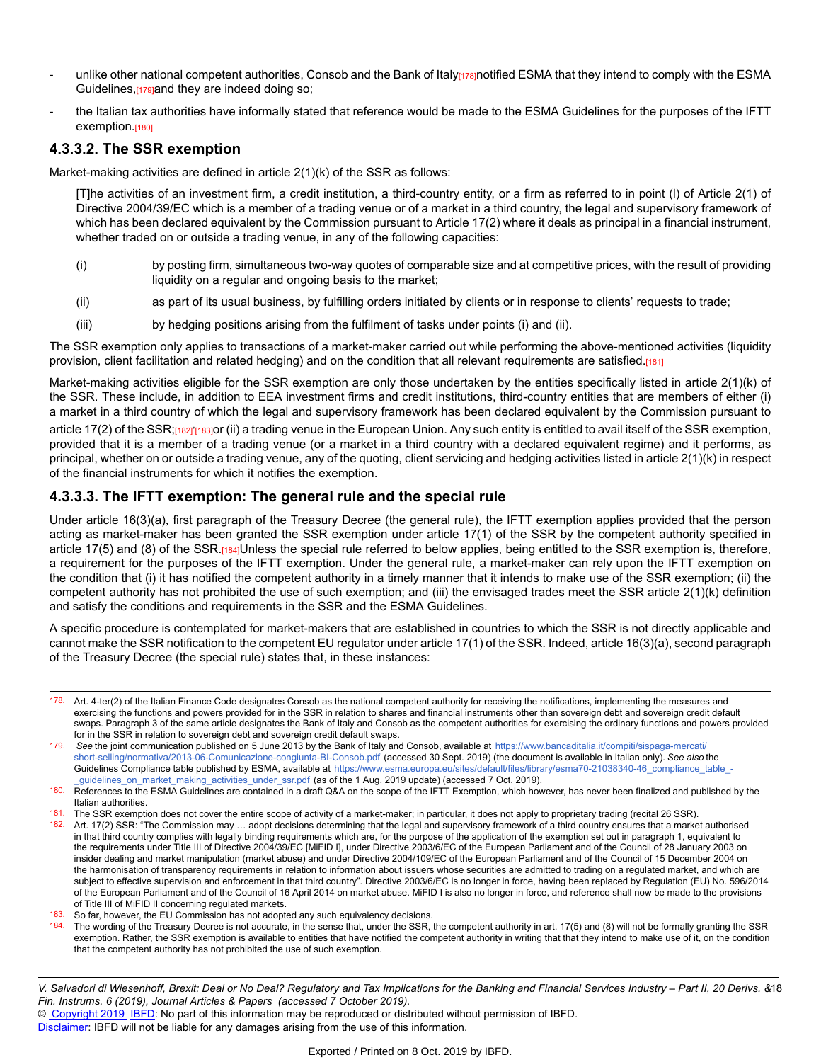- unlike other national competent authorities, Consob and the Bank of Italy<sub>[178]</sub>notified ESMA that they intend to comply with the ESMA Guidelines,[179]and they are indeed doing so;
- the Italian tax authorities have informally stated that reference would be made to the ESMA Guidelines for the purposes of the IFTT exemption.[180]

#### **4.3.3.2. The SSR exemption**

Market-making activities are defined in article 2(1)(k) of the SSR as follows:

[T]he activities of an investment firm, a credit institution, a third-country entity, or a firm as referred to in point (l) of Article 2(1) of Directive 2004/39/EC which is a member of a trading venue or of a market in a third country, the legal and supervisory framework of which has been declared equivalent by the Commission pursuant to Article 17(2) where it deals as principal in a financial instrument, whether traded on or outside a trading venue, in any of the following capacities:

- (i) by posting firm, simultaneous two-way quotes of comparable size and at competitive prices, with the result of providing liquidity on a regular and ongoing basis to the market;
- (ii) as part of its usual business, by fulfilling orders initiated by clients or in response to clients' requests to trade;
- (iii) by hedging positions arising from the fulfilment of tasks under points (i) and (ii).

The SSR exemption only applies to transactions of a market-maker carried out while performing the above-mentioned activities (liquidity provision, client facilitation and related hedging) and on the condition that all relevant requirements are satisfied.[181]

Market-making activities eligible for the SSR exemption are only those undertaken by the entities specifically listed in article 2(1)(k) of the SSR. These include, in addition to EEA investment firms and credit institutions, third-country entities that are members of either (i) a market in a third country of which the legal and supervisory framework has been declared equivalent by the Commission pursuant to

article 17(2) of the SSR;[182]'[183]<mark>or (ii) a trading venue in the European Union. Any such entity is entitled to avail itself of the SSR exemption,</mark> provided that it is a member of a trading venue (or a market in a third country with a declared equivalent regime) and it performs, as principal, whether on or outside a trading venue, any of the quoting, client servicing and hedging activities listed in article 2(1)(k) in respect of the financial instruments for which it notifies the exemption.

#### **4.3.3.3. The IFTT exemption: The general rule and the special rule**

Under article 16(3)(a), first paragraph of the Treasury Decree (the general rule), the IFTT exemption applies provided that the person acting as market-maker has been granted the SSR exemption under article 17(1) of the SSR by the competent authority specified in article 17(5) and (8) of the SSR.[184]Unless the special rule referred to below applies, being entitled to the SSR exemption is, therefore, a requirement for the purposes of the IFTT exemption. Under the general rule, a market-maker can rely upon the IFTT exemption on the condition that (i) it has notified the competent authority in a timely manner that it intends to make use of the SSR exemption; (ii) the competent authority has not prohibited the use of such exemption; and (iii) the envisaged trades meet the SSR article 2(1)(k) definition and satisfy the conditions and requirements in the SSR and the ESMA Guidelines.

A specific procedure is contemplated for market-makers that are established in countries to which the SSR is not directly applicable and cannot make the SSR notification to the competent EU regulator under article 17(1) of the SSR. Indeed, article 16(3)(a), second paragraph of the Treasury Decree (the special rule) states that, in these instances:

181. The SSR exemption does not cover the entire scope of activity of a market-maker; in particular, it does not apply to proprietary trading (recital 26 SSR).

182. Art. 17(2) SSR: "The Commission may ... adopt decisions determining that the legal and supervisory framework of a third country ensures that a market authorised in that third country complies with legally binding requirements which are, for the purpose of the application of the exemption set out in paragraph 1, equivalent to the requirements under Title III of Directive 2004/39/EC [MiFID I], under Directive 2003/6/EC of the European Parliament and of the Council of 28 January 2003 on insider dealing and market manipulation (market abuse) and under Directive 2004/109/EC of the European Parliament and of the Council of 15 December 2004 on the harmonisation of transparency requirements in relation to information about issuers whose securities are admitted to trading on a regulated market, and which are subject to effective supervision and enforcement in that third country". Directive 2003/6/EC is no longer in force, having been replaced by Regulation (EU) No. 596/2014 of the European Parliament and of the Council of 16 April 2014 on market abuse. MiFID I is also no longer in force, and reference shall now be made to the provisions of Title III of MiFID II concerning regulated markets.

The wording of the Treasury Decree is not accurate, in the sense that, under the SSR, the competent authority in art. 17(5) and (8) will not be formally granting the SSR exemption. Rather, the SSR exemption is available to entities that have notified the competent authority in writing that that they intend to make use of it, on the condition that the competent authority has not prohibited the use of such exemption.

© [Copyright 2019](http://www.ibfd.org/Copyright-IBFD) [IBFD:](http://www.ibfd.org) No part of this information may be reproduced or distributed without permission of IBFD.

<sup>178.</sup> Art. 4-ter(2) of the Italian Finance Code designates Consob as the national competent authority for receiving the notifications, implementing the measures and exercising the functions and powers provided for in the SSR in relation to shares and financial instruments other than sovereign debt and sovereign credit default swaps. Paragraph 3 of the same article designates the Bank of Italy and Consob as the competent authorities for exercising the ordinary functions and powers provided for in the SSR in relation to sovereign debt and sovereign credit default swaps.

<sup>179.</sup> *See* the joint communication published on 5 June 2013 by the Bank of Italy and Consob, available at [https://www.bancaditalia.it/compiti/sispaga-mercati](https://www.bancaditalia.it/compiti/sispaga-mercati/short-selling/normativa/2013-06-Comunicazione-congiunta-BI-Consob.pdf)/ [short-selling/normativa/2013-06-Comunicazione-congiunta-BI-Consob.pdf](https://www.bancaditalia.it/compiti/sispaga-mercati/short-selling/normativa/2013-06-Comunicazione-congiunta-BI-Consob.pdf) (accessed 30 Sept. 2019) (the document is available in Italian only). *See also* the Guidelines Compliance table published by ESMA, available at [https://www.esma.europa.eu/sites/default/files/library/esma70-21038340-46\\_compliance\\_table\\_](https://www.esma.europa.eu/sites/default/files/library/esma70-21038340-46_compliance_table_-_guidelines_on_market_making_activities_under_ssr.pdf)-[\\_guidelines\\_on\\_market\\_making\\_activities\\_under\\_ssr.pdf](https://www.esma.europa.eu/sites/default/files/library/esma70-21038340-46_compliance_table_-_guidelines_on_market_making_activities_under_ssr.pdf) (as of the 1 Aug. 2019 update) (accessed 7 Oct. 2019).

<sup>180.</sup> References to the ESMA Guidelines are contained in a draft Q&A on the scope of the IFTT Exemption, which however, has never been finalized and published by the Italian authorities.

<sup>183.</sup> So far, however, the EU Commission has not adopted any such equivalency decisions.<br>184. The wording of the Treasury Decree is not accurate in the sense that under the SSR 1

V. Salvadori di Wiesenhoff, Brexit: Deal or No Deal? Regulatory and Tax Implications for the Banking and Financial Services Industry – Part II, 20 Derivs. &18 *Fin. Instrums. 6 (2019), Journal Articles & Papers (accessed 7 October 2019).*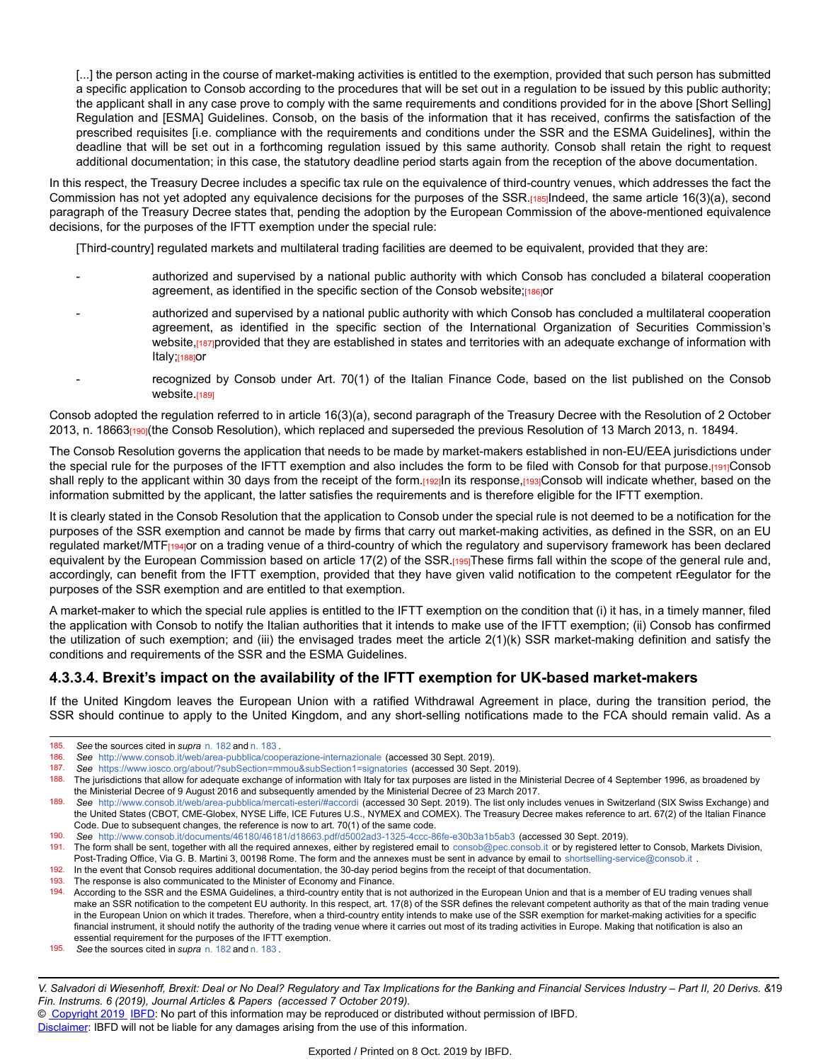[...] the person acting in the course of market-making activities is entitled to the exemption, provided that such person has submitted a specific application to Consob according to the procedures that will be set out in a regulation to be issued by this public authority; the applicant shall in any case prove to comply with the same requirements and conditions provided for in the above [Short Selling] Regulation and [ESMA] Guidelines. Consob, on the basis of the information that it has received, confirms the satisfaction of the prescribed requisites [i.e. compliance with the requirements and conditions under the SSR and the ESMA Guidelines], within the deadline that will be set out in a forthcoming regulation issued by this same authority. Consob shall retain the right to request additional documentation; in this case, the statutory deadline period starts again from the reception of the above documentation.

In this respect, the Treasury Decree includes a specific tax rule on the equivalence of third-country venues, which addresses the fact the Commission has not yet adopted any equivalence decisions for the purposes of the SSR.[185]Indeed, the same article 16(3)(a), second paragraph of the Treasury Decree states that, pending the adoption by the European Commission of the above-mentioned equivalence decisions, for the purposes of the IFTT exemption under the special rule:

[Third-country] regulated markets and multilateral trading facilities are deemed to be equivalent, provided that they are:

- authorized and supervised by a national public authority with which Consob has concluded a bilateral cooperation agreement, as identified in the specific section of the Consob website;[186]or
- authorized and supervised by a national public authority with which Consob has concluded a multilateral cooperation agreement, as identified in the specific section of the International Organization of Securities Commission's website, [187]provided that they are established in states and territories with an adequate exchange of information with Italy;[188]or
- recognized by Consob under Art. 70(1) of the Italian Finance Code, based on the list published on the Consob website.[189]

Consob adopted the regulation referred to in article 16(3)(a), second paragraph of the Treasury Decree with the Resolution of 2 October 2013, n. 18663<sub>[190]</sub>(the Consob Resolution), which replaced and superseded the previous Resolution of 13 March 2013, n. 18494.

The Consob Resolution governs the application that needs to be made by market-makers established in non-EU/EEA jurisdictions under the special rule for the purposes of the IFTT exemption and also includes the form to be filed with Consob for that purpose.[191]Consob shall reply to the applicant within 30 days from the receipt of the form.[192]In its response,[193]Consob will indicate whether, based on the information submitted by the applicant, the latter satisfies the requirements and is therefore eligible for the IFTT exemption.

It is clearly stated in the Consob Resolution that the application to Consob under the special rule is not deemed to be a notification for the purposes of the SSR exemption and cannot be made by firms that carry out market-making activities, as defined in the SSR, on an EU regulated market/MTF<sub>[194]</sub>or on a trading venue of a third-country of which the regulatory and supervisory framework has been declared equivalent by the European Commission based on article 17(2) of the SSR.[195]These firms fall within the scope of the general rule and, accordingly, can benefit from the IFTT exemption, provided that they have given valid notification to the competent rEegulator for the purposes of the SSR exemption and are entitled to that exemption.

A market-maker to which the special rule applies is entitled to the IFTT exemption on the condition that (i) it has, in a timely manner, filed the application with Consob to notify the Italian authorities that it intends to make use of the IFTT exemption; (ii) Consob has confirmed the utilization of such exemption; and (iii) the envisaged trades meet the article 2(1)(k) SSR market-making definition and satisfy the conditions and requirements of the SSR and the ESMA Guidelines.

#### **4.3.3.4. Brexit's impact on the availability of the IFTT exemption for UK-based market-makers**

If the United Kingdom leaves the European Union with a ratified Withdrawal Agreement in place, during the transition period, the SSR should continue to apply to the United Kingdom, and any short-selling notifications made to the FCA should remain valid. As a

<sup>185.</sup> *See* the sources cited in *supra* [n. 182](https://research.ibfd.org/#/doc?url=/linkresolver/static/dfi_2019_06_it_1_fn_182#dfi_2019_06_it_1_fn_182) and [n. 183](https://research.ibfd.org/#/doc?url=/linkresolver/static/dfi_2019_06_it_1_fn_183#dfi_2019_06_it_1_fn_183) .

<sup>186.</sup> *See* <http://www.consob.it/web/area-pubblica/cooperazione-internazionale> (accessed 30 Sept. 2019).

<sup>187.</sup> *See* <https://www.iosco.org/about/?subSection=mmou&subSection1=signatories> (accessed 30 Sept. 2019).<br>188. The jurisdictions that allow for adequate exchange of information with Italy for tax purposes are listed in the

The jurisdictions that allow for adequate exchange of information with Italy for tax purposes are listed in the Ministerial Decree of 4 September 1996, as broadened by the Ministerial Decree of 9 August 2016 and subsequently amended by the Ministerial Decree of 23 March 2017.

<sup>189.</sup> *See* [http://www.consob.it/web/area-pubblica/mercati-esteri/#accord](http://www.consob.it/web/area-pubblica/mercati-esteri/#accordi)i (accessed 30 Sept. 2019). The list only includes venues in Switzerland (SIX Swiss Exchange) and the United States (CBOT, CME-Globex, NYSE Liffe, ICE Futures U.S., NYMEX and COMEX). The Treasury Decree makes reference to art. 67(2) of the Italian Finance Code. Due to subsequent changes, the reference is now to art. 70(1) of the same code.

<sup>190.</sup> *See* <http://www.consob.it/documents/46180/46181/d18663.pdf/d5002ad3-1325-4ccc-86fe-e30b3a1b5ab3> (accessed 30 Sept. 2019).

<sup>191.</sup> The form shall be sent, together with all the required annexes, either by registered email to [consob@pec.consob.i](consob@pec.consob.it)t or by registered letter to Consob, Markets Division, Post-Trading Office, Via G. B. Martini 3, 00198 Rome. The form and the annexes must be sent in advance by email to [shortselling-service@consob.i](shortselling-service@consob.it)t .

<sup>192.</sup> In the event that Consob requires additional documentation, the 30-day period begins from the receipt of that documentation.

<sup>193.</sup> The response is also communicated to the Minister of Economy and Finance.<br>194. According to the SSR and the FSMA Guidelines, a third-country entity that is r

<sup>194.</sup> According to the SSR and the ESMA Guidelines, a third-country entity that is not authorized in the European Union and that is a member of EU trading venues shall make an SSR notification to the competent EU authority. In this respect, art. 17(8) of the SSR defines the relevant competent authority as that of the main trading venue in the European Union on which it trades. Therefore, when a third-country entity intends to make use of the SSR exemption for market-making activities for a specific financial instrument, it should notify the authority of the trading venue where it carries out most of its trading activities in Europe. Making that notification is also an essential requirement for the purposes of the IFTT exemption.

<sup>195.</sup> *See* the sources cited in *supra* [n. 182](https://research.ibfd.org/#/doc?url=/linkresolver/static/dfi_2019_06_it_1_fn_182#dfi_2019_06_it_1_fn_182) and [n. 183](https://research.ibfd.org/#/doc?url=/linkresolver/static/dfi_2019_06_it_1_fn_183#dfi_2019_06_it_1_fn_183) .

V. Salvadori di Wiesenhoff, Brexit: Deal or No Deal? Regulatory and Tax Implications for the Banking and Financial Services Industry – Part II, 20 Derivs. &19 *Fin. Instrums. 6 (2019), Journal Articles & Papers (accessed 7 October 2019).*

<sup>©</sup> [Copyright 2019](http://www.ibfd.org/Copyright-IBFD) [IBFD:](http://www.ibfd.org) No part of this information may be reproduced or distributed without permission of IBFD.